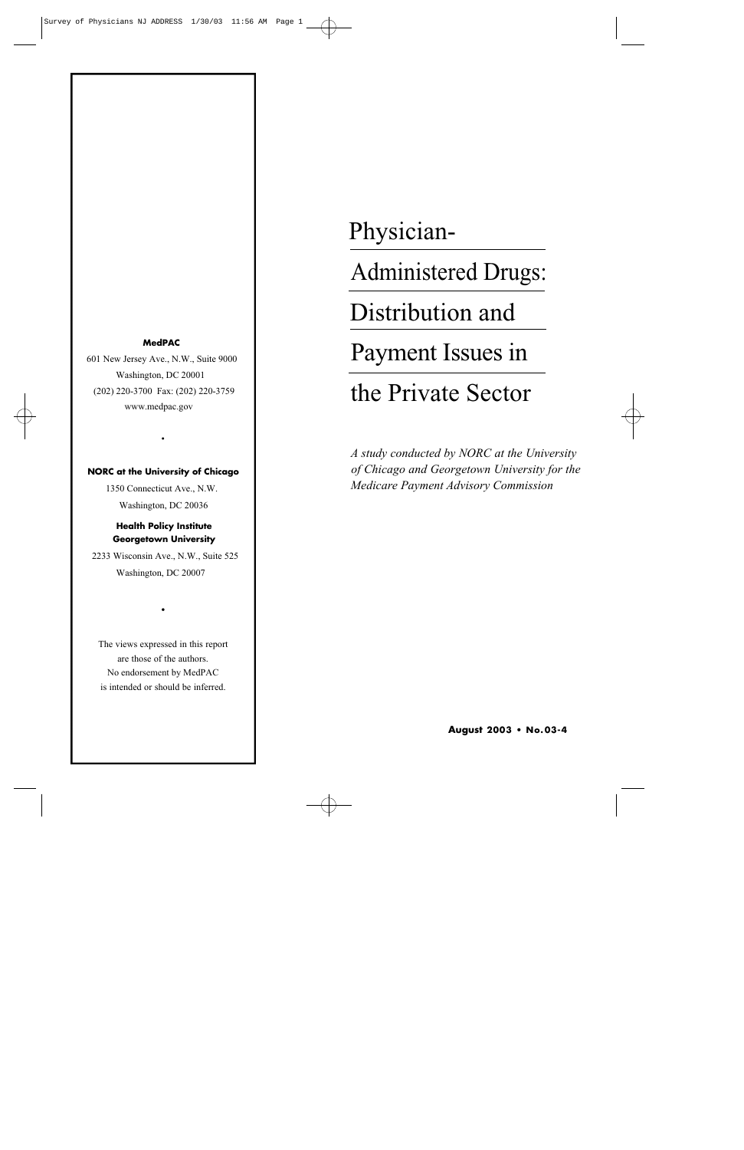#### **MedPAC**

601 New Jersey Ave., N.W., Suite 9000 Washington, DC 20001 (202) 220-3700 Fax: (202) 220-3759 www.medpac.gov

#### **NORC at the University of Chicago**

•

1350 Connecticut Ave., N.W. Washington, DC 20036

# **Health Policy Institute Georgetown University**

2233 Wisconsin Ave., N.W., Suite 525 Washington, DC 20007

The views expressed in this report are those of the authors. No endorsement by MedPAC is intended or should be inferred.

•

# Physician-

Administered Drugs:

Distribution and

Payment Issues in

# the Private Sector

*A study conducted by NORC at the University of Chicago and Georgetown University for the Medicare Payment Advisory Commission*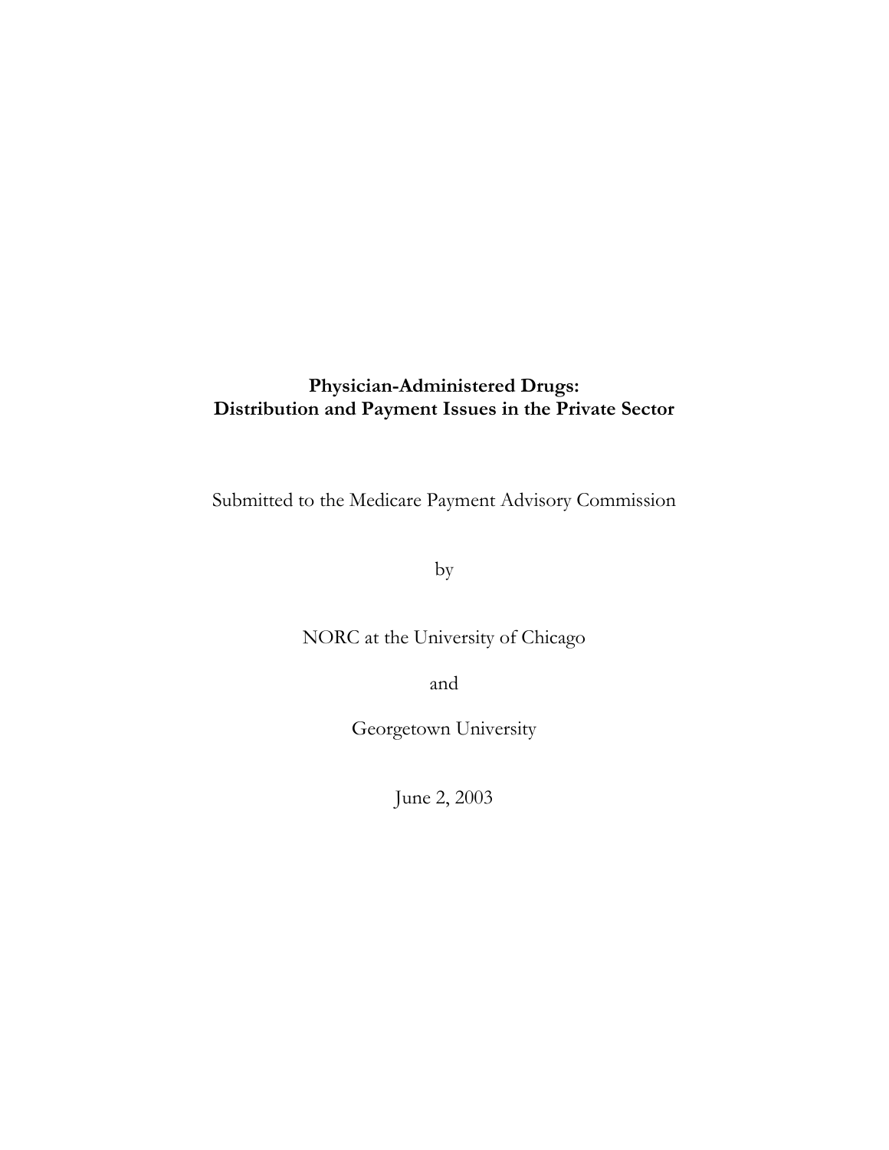# **Physician-Administered Drugs: Distribution and Payment Issues in the Private Sector**

Submitted to the Medicare Payment Advisory Commission

by

NORC at the University of Chicago

and

Georgetown University

June 2, 2003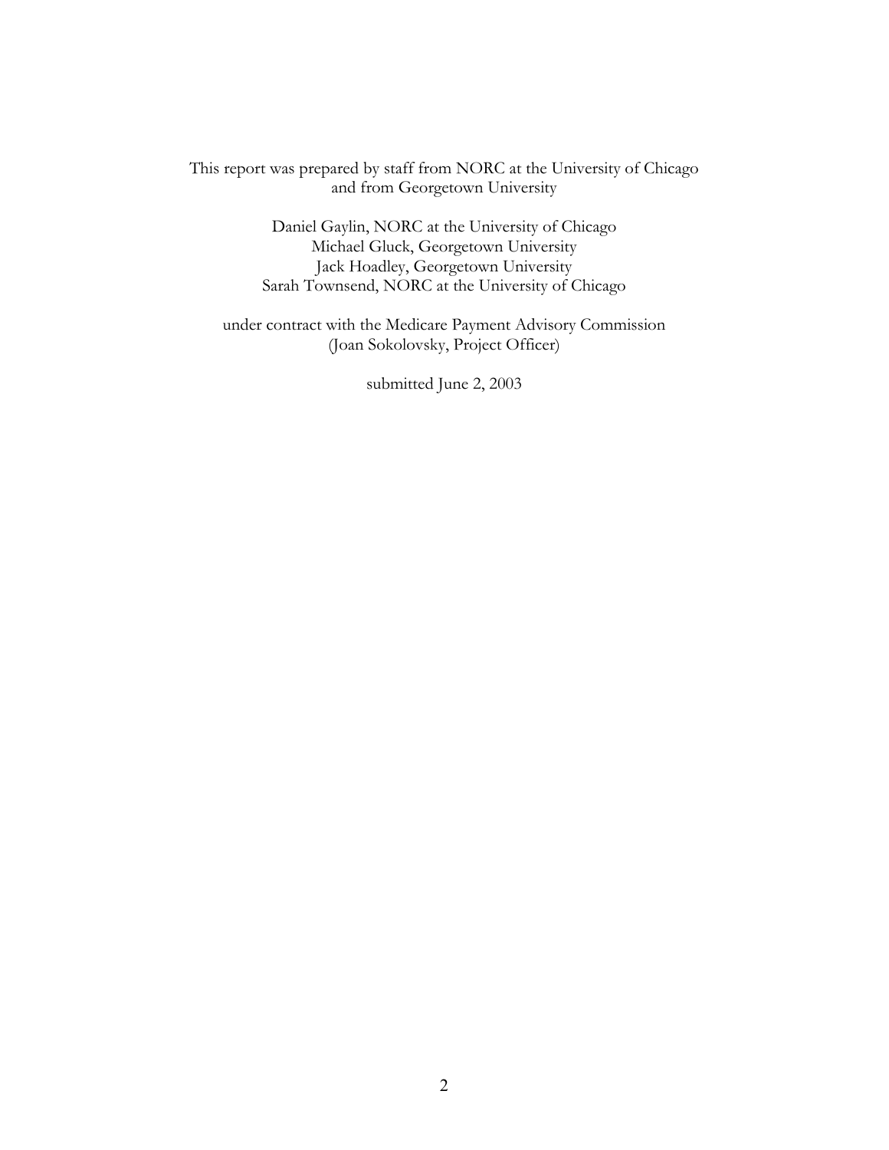This report was prepared by staff from NORC at the University of Chicago and from Georgetown University

> Daniel Gaylin, NORC at the University of Chicago Michael Gluck, Georgetown University Jack Hoadley, Georgetown University Sarah Townsend, NORC at the University of Chicago

under contract with the Medicare Payment Advisory Commission (Joan Sokolovsky, Project Officer)

submitted June 2, 2003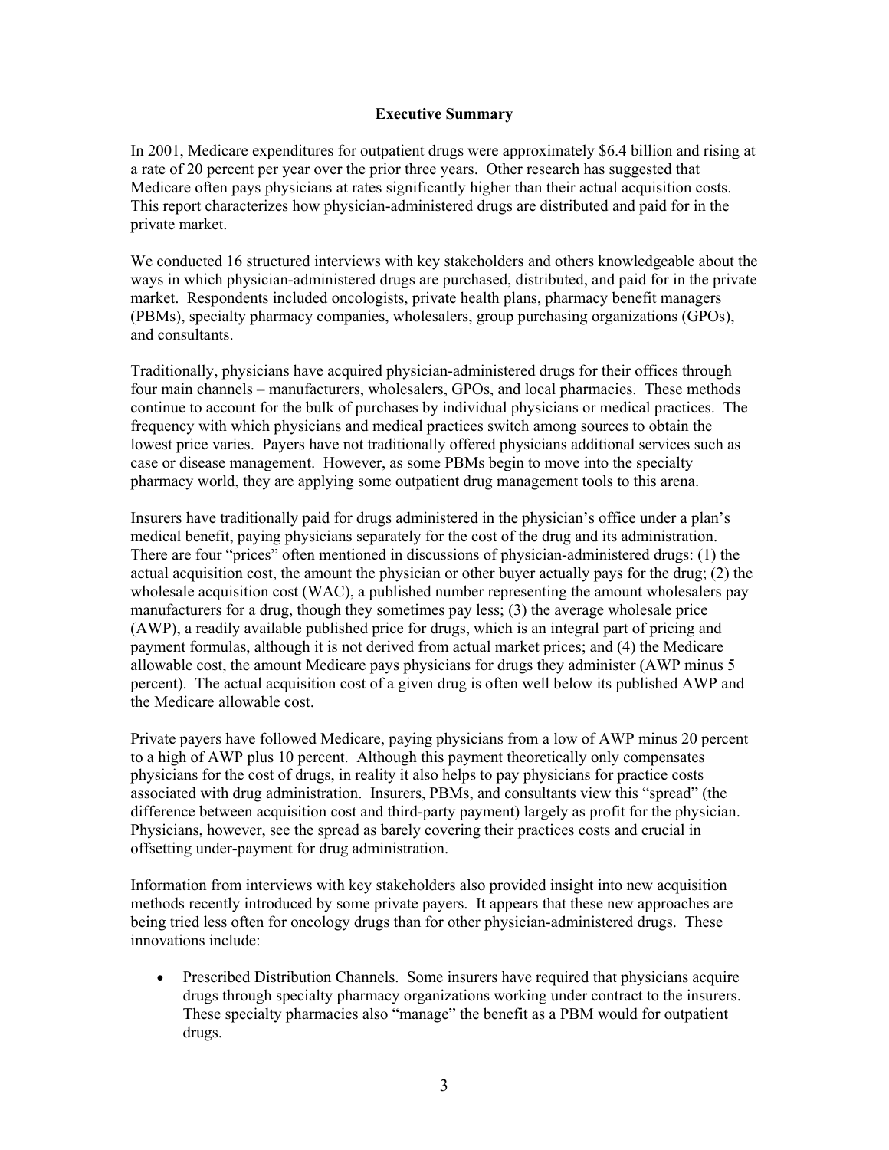#### **Executive Summary**

In 2001, Medicare expenditures for outpatient drugs were approximately \$6.4 billion and rising at a rate of 20 percent per year over the prior three years. Other research has suggested that Medicare often pays physicians at rates significantly higher than their actual acquisition costs. This report characterizes how physician-administered drugs are distributed and paid for in the private market.

We conducted 16 structured interviews with key stakeholders and others knowledgeable about the ways in which physician-administered drugs are purchased, distributed, and paid for in the private market. Respondents included oncologists, private health plans, pharmacy benefit managers (PBMs), specialty pharmacy companies, wholesalers, group purchasing organizations (GPOs), and consultants.

Traditionally, physicians have acquired physician-administered drugs for their offices through four main channels – manufacturers, wholesalers, GPOs, and local pharmacies. These methods continue to account for the bulk of purchases by individual physicians or medical practices. The frequency with which physicians and medical practices switch among sources to obtain the lowest price varies. Payers have not traditionally offered physicians additional services such as case or disease management. However, as some PBMs begin to move into the specialty pharmacy world, they are applying some outpatient drug management tools to this arena.

Insurers have traditionally paid for drugs administered in the physician's office under a plan's medical benefit, paying physicians separately for the cost of the drug and its administration. There are four "prices" often mentioned in discussions of physician-administered drugs: (1) the actual acquisition cost, the amount the physician or other buyer actually pays for the drug; (2) the wholesale acquisition cost (WAC), a published number representing the amount wholesalers pay manufacturers for a drug, though they sometimes pay less; (3) the average wholesale price (AWP), a readily available published price for drugs, which is an integral part of pricing and payment formulas, although it is not derived from actual market prices; and (4) the Medicare allowable cost, the amount Medicare pays physicians for drugs they administer (AWP minus 5 percent). The actual acquisition cost of a given drug is often well below its published AWP and the Medicare allowable cost.

Private payers have followed Medicare, paying physicians from a low of AWP minus 20 percent to a high of AWP plus 10 percent. Although this payment theoretically only compensates physicians for the cost of drugs, in reality it also helps to pay physicians for practice costs associated with drug administration. Insurers, PBMs, and consultants view this "spread" (the difference between acquisition cost and third-party payment) largely as profit for the physician. Physicians, however, see the spread as barely covering their practices costs and crucial in offsetting under-payment for drug administration.

Information from interviews with key stakeholders also provided insight into new acquisition methods recently introduced by some private payers. It appears that these new approaches are being tried less often for oncology drugs than for other physician-administered drugs. These innovations include:

• Prescribed Distribution Channels. Some insurers have required that physicians acquire drugs through specialty pharmacy organizations working under contract to the insurers. These specialty pharmacies also "manage" the benefit as a PBM would for outpatient drugs.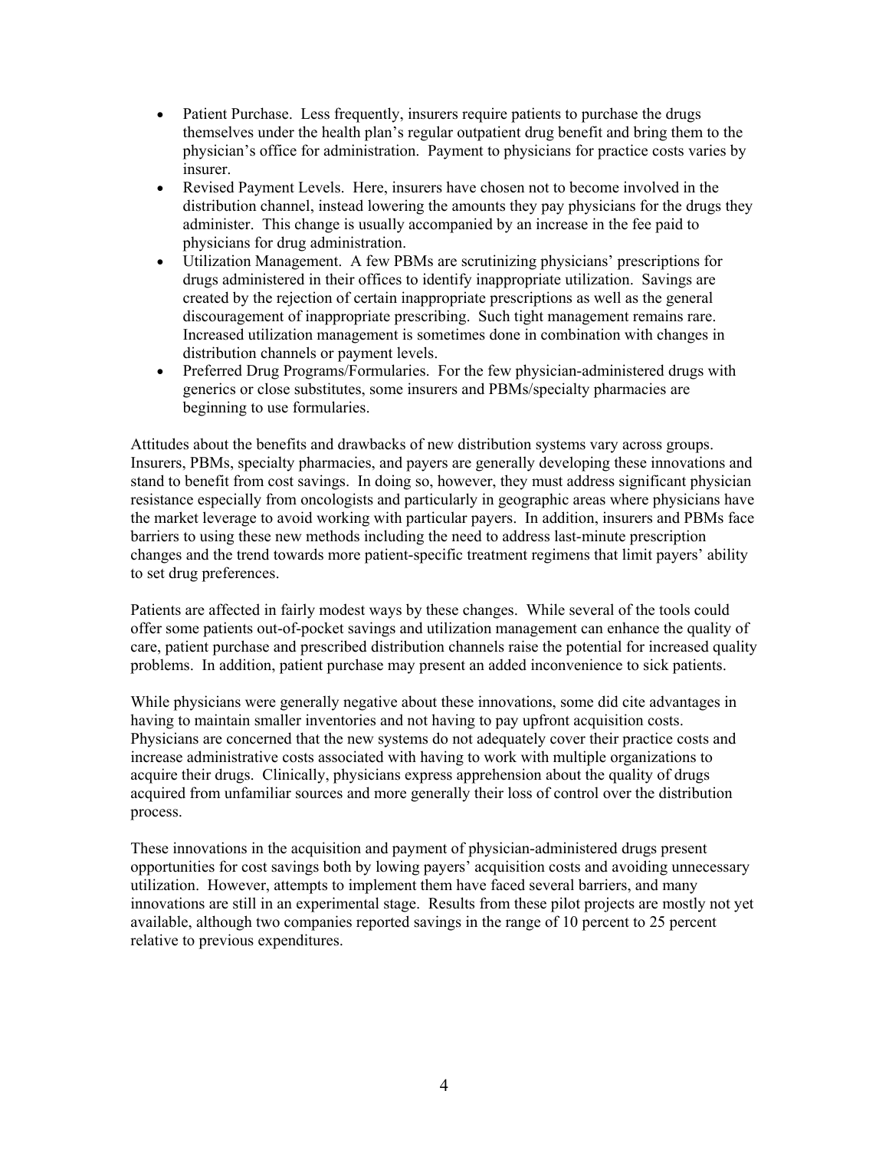- Patient Purchase. Less frequently, insurers require patients to purchase the drugs themselves under the health plan's regular outpatient drug benefit and bring them to the physician's office for administration. Payment to physicians for practice costs varies by insurer.
- Revised Payment Levels. Here, insurers have chosen not to become involved in the distribution channel, instead lowering the amounts they pay physicians for the drugs they administer. This change is usually accompanied by an increase in the fee paid to physicians for drug administration.
- Utilization Management. A few PBMs are scrutinizing physicians' prescriptions for drugs administered in their offices to identify inappropriate utilization. Savings are created by the rejection of certain inappropriate prescriptions as well as the general discouragement of inappropriate prescribing. Such tight management remains rare. Increased utilization management is sometimes done in combination with changes in distribution channels or payment levels.
- Preferred Drug Programs/Formularies. For the few physician-administered drugs with generics or close substitutes, some insurers and PBMs/specialty pharmacies are beginning to use formularies.

Attitudes about the benefits and drawbacks of new distribution systems vary across groups. Insurers, PBMs, specialty pharmacies, and payers are generally developing these innovations and stand to benefit from cost savings. In doing so, however, they must address significant physician resistance especially from oncologists and particularly in geographic areas where physicians have the market leverage to avoid working with particular payers. In addition, insurers and PBMs face barriers to using these new methods including the need to address last-minute prescription changes and the trend towards more patient-specific treatment regimens that limit payers' ability to set drug preferences.

Patients are affected in fairly modest ways by these changes. While several of the tools could offer some patients out-of-pocket savings and utilization management can enhance the quality of care, patient purchase and prescribed distribution channels raise the potential for increased quality problems. In addition, patient purchase may present an added inconvenience to sick patients.

While physicians were generally negative about these innovations, some did cite advantages in having to maintain smaller inventories and not having to pay upfront acquisition costs. Physicians are concerned that the new systems do not adequately cover their practice costs and increase administrative costs associated with having to work with multiple organizations to acquire their drugs. Clinically, physicians express apprehension about the quality of drugs acquired from unfamiliar sources and more generally their loss of control over the distribution process.

These innovations in the acquisition and payment of physician-administered drugs present opportunities for cost savings both by lowing payers' acquisition costs and avoiding unnecessary utilization. However, attempts to implement them have faced several barriers, and many innovations are still in an experimental stage. Results from these pilot projects are mostly not yet available, although two companies reported savings in the range of 10 percent to 25 percent relative to previous expenditures.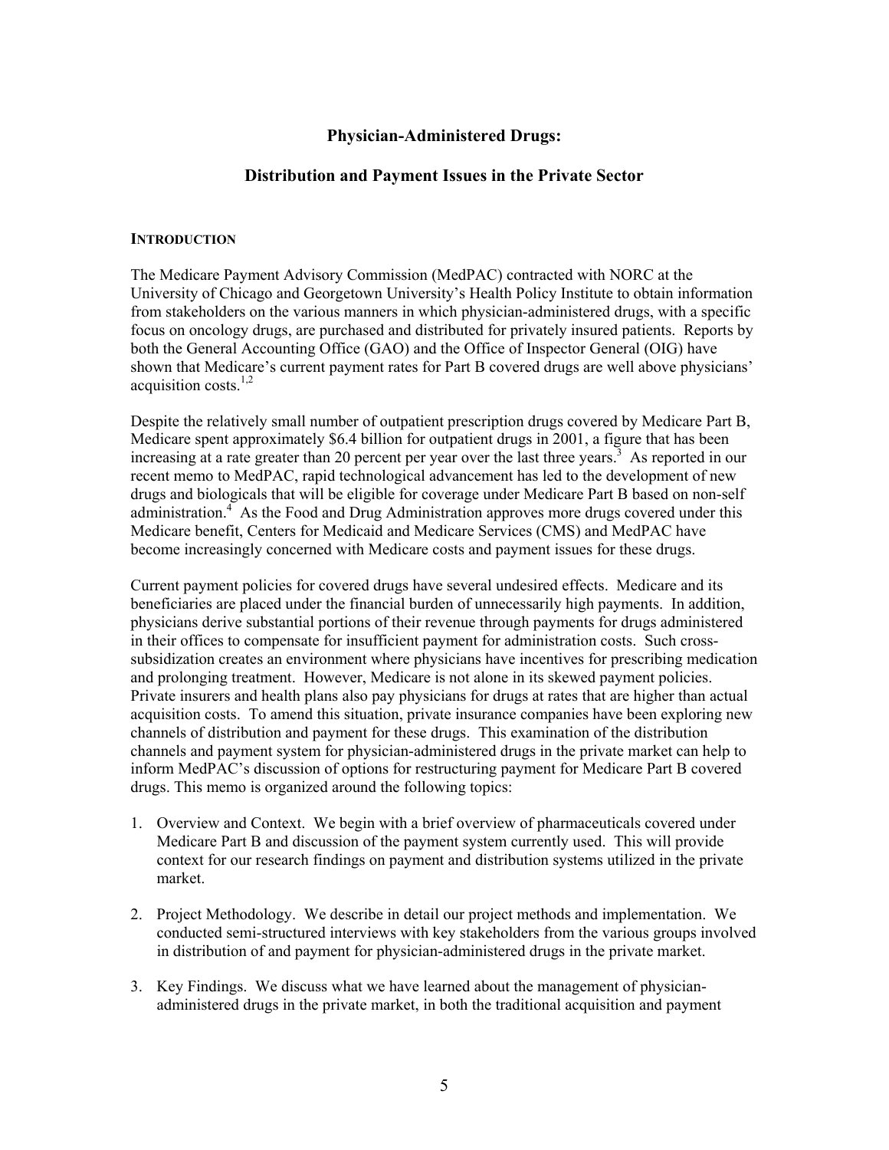# **Physician-Administered Drugs:**

# **Distribution and Payment Issues in the Private Sector**

#### **INTRODUCTION**

The Medicare Payment Advisory Commission (MedPAC) contracted with NORC at the University of Chicago and Georgetown University's Health Policy Institute to obtain information from stakeholders on the various manners in which physician-administered drugs, with a specific focus on oncology drugs, are purchased and distributed for privately insured patients. Reports by both the General Accounting Office (GAO) and the Office of Inspector General (OIG) have shown that Medicare's current payment rates for Part B covered drugs are well above physicians' acquisition costs.<sup>1,2</sup>

Despite the relatively small number of outpatient prescription drugs covered by Medicare Part B, Medicare spent approximately \$6.4 billion for outpatient drugs in 2001, a figure that has been increasing at a rate greater than 20 percent per year over the last three years.<sup>3</sup> As reported in our recent memo to MedPAC, rapid technological advancement has led to the development of new drugs and biologicals that will be eligible for coverage under Medicare Part B based on non-self administration.<sup>4</sup> As the Food and Drug Administration approves more drugs covered under this Medicare benefit, Centers for Medicaid and Medicare Services (CMS) and MedPAC have become increasingly concerned with Medicare costs and payment issues for these drugs.

Current payment policies for covered drugs have several undesired effects. Medicare and its beneficiaries are placed under the financial burden of unnecessarily high payments. In addition, physicians derive substantial portions of their revenue through payments for drugs administered in their offices to compensate for insufficient payment for administration costs. Such crosssubsidization creates an environment where physicians have incentives for prescribing medication and prolonging treatment. However, Medicare is not alone in its skewed payment policies. Private insurers and health plans also pay physicians for drugs at rates that are higher than actual acquisition costs. To amend this situation, private insurance companies have been exploring new channels of distribution and payment for these drugs. This examination of the distribution channels and payment system for physician-administered drugs in the private market can help to inform MedPAC's discussion of options for restructuring payment for Medicare Part B covered drugs. This memo is organized around the following topics:

- 1. Overview and Context. We begin with a brief overview of pharmaceuticals covered under Medicare Part B and discussion of the payment system currently used. This will provide context for our research findings on payment and distribution systems utilized in the private market.
- 2. Project Methodology. We describe in detail our project methods and implementation. We conducted semi-structured interviews with key stakeholders from the various groups involved in distribution of and payment for physician-administered drugs in the private market.
- 3. Key Findings. We discuss what we have learned about the management of physicianadministered drugs in the private market, in both the traditional acquisition and payment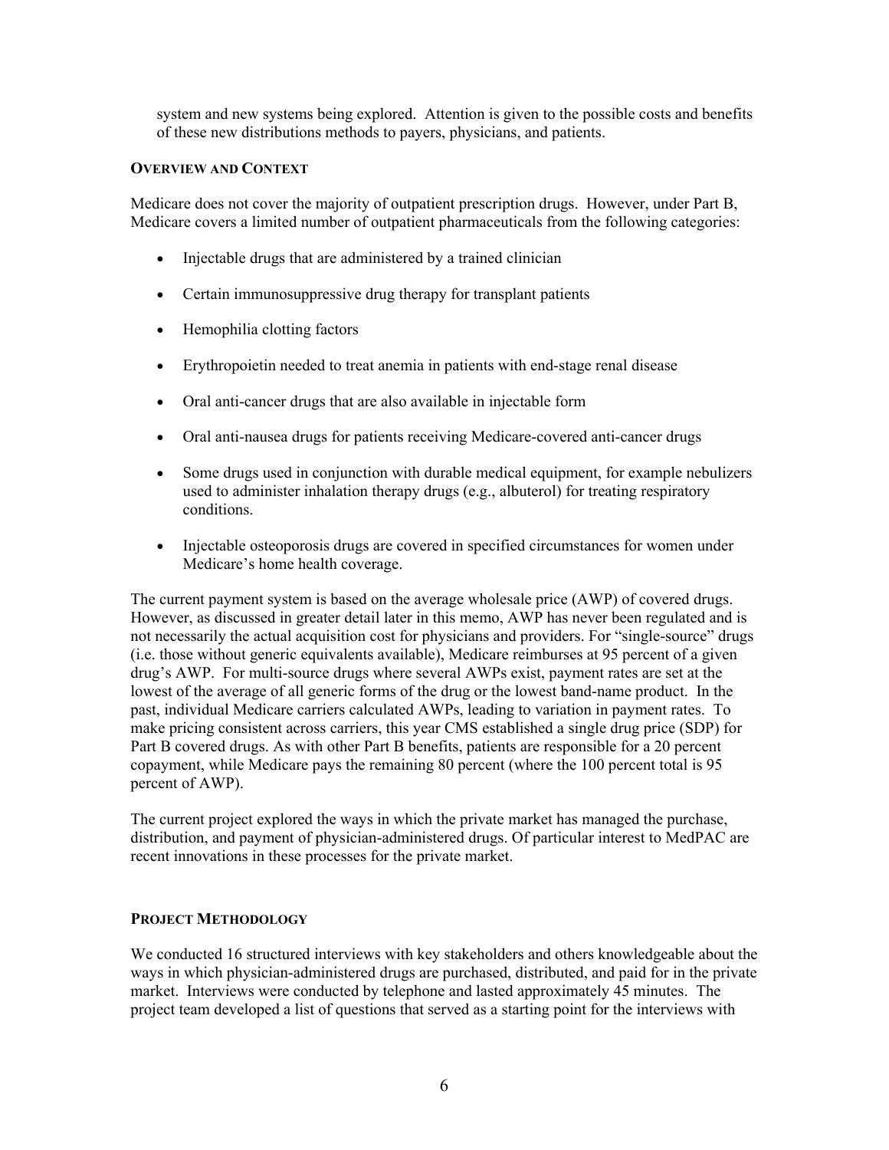system and new systems being explored. Attention is given to the possible costs and benefits of these new distributions methods to payers, physicians, and patients.

#### **OVERVIEW AND CONTEXT**

Medicare does not cover the majority of outpatient prescription drugs. However, under Part B, Medicare covers a limited number of outpatient pharmaceuticals from the following categories:

- Injectable drugs that are administered by a trained clinician
- Certain immunosuppressive drug therapy for transplant patients
- Hemophilia clotting factors
- Erythropoietin needed to treat anemia in patients with end-stage renal disease
- Oral anti-cancer drugs that are also available in injectable form
- Oral anti-nausea drugs for patients receiving Medicare-covered anti-cancer drugs
- Some drugs used in conjunction with durable medical equipment, for example nebulizers used to administer inhalation therapy drugs (e.g., albuterol) for treating respiratory conditions.
- Injectable osteoporosis drugs are covered in specified circumstances for women under Medicare's home health coverage.

The current payment system is based on the average wholesale price (AWP) of covered drugs. However, as discussed in greater detail later in this memo, AWP has never been regulated and is not necessarily the actual acquisition cost for physicians and providers. For "single-source" drugs (i.e. those without generic equivalents available), Medicare reimburses at 95 percent of a given drug's AWP. For multi-source drugs where several AWPs exist, payment rates are set at the lowest of the average of all generic forms of the drug or the lowest band-name product. In the past, individual Medicare carriers calculated AWPs, leading to variation in payment rates. To make pricing consistent across carriers, this year CMS established a single drug price (SDP) for Part B covered drugs. As with other Part B benefits, patients are responsible for a 20 percent copayment, while Medicare pays the remaining 80 percent (where the 100 percent total is 95 percent of AWP).

The current project explored the ways in which the private market has managed the purchase, distribution, and payment of physician-administered drugs. Of particular interest to MedPAC are recent innovations in these processes for the private market.

#### **PROJECT METHODOLOGY**

We conducted 16 structured interviews with key stakeholders and others knowledgeable about the ways in which physician-administered drugs are purchased, distributed, and paid for in the private market. Interviews were conducted by telephone and lasted approximately 45 minutes. The project team developed a list of questions that served as a starting point for the interviews with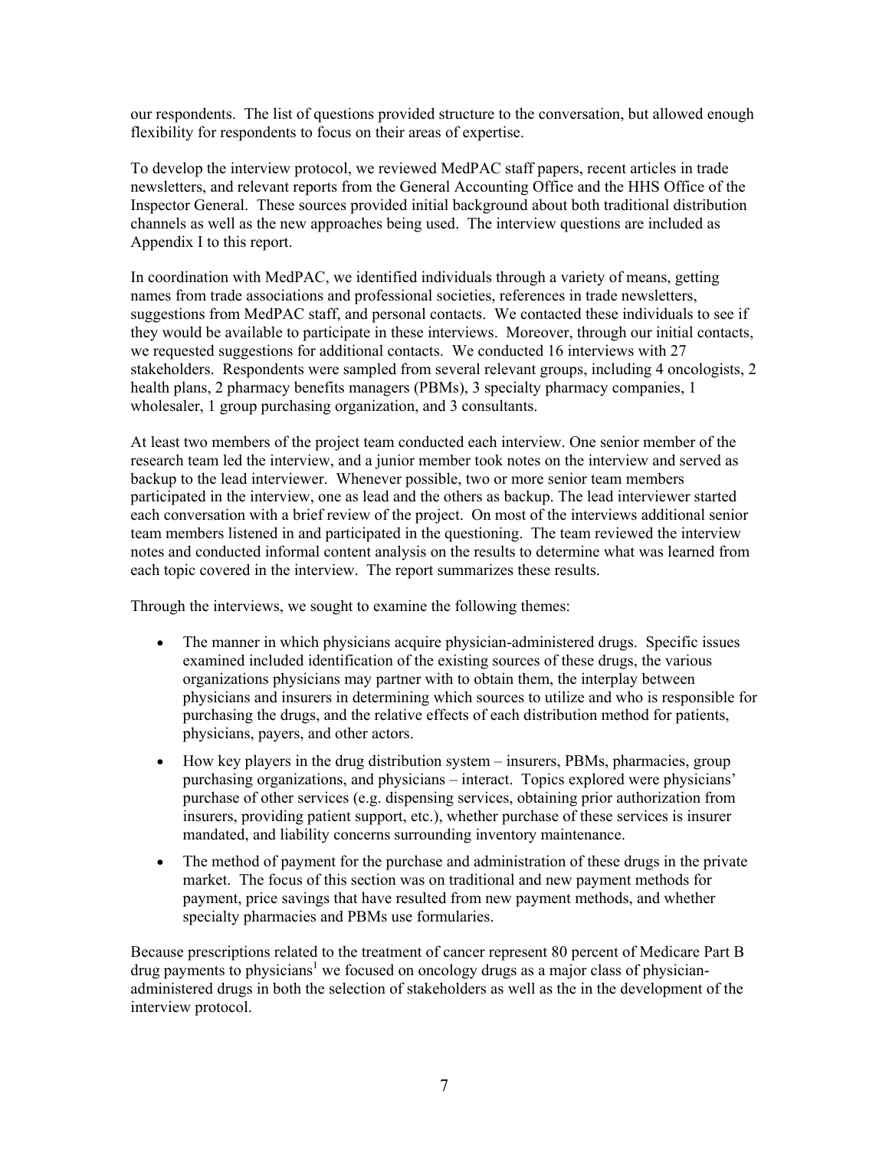our respondents. The list of questions provided structure to the conversation, but allowed enough flexibility for respondents to focus on their areas of expertise.

To develop the interview protocol, we reviewed MedPAC staff papers, recent articles in trade newsletters, and relevant reports from the General Accounting Office and the HHS Office of the Inspector General. These sources provided initial background about both traditional distribution channels as well as the new approaches being used. The interview questions are included as Appendix I to this report.

In coordination with MedPAC, we identified individuals through a variety of means, getting names from trade associations and professional societies, references in trade newsletters, suggestions from MedPAC staff, and personal contacts. We contacted these individuals to see if they would be available to participate in these interviews. Moreover, through our initial contacts, we requested suggestions for additional contacts. We conducted 16 interviews with 27 stakeholders. Respondents were sampled from several relevant groups, including 4 oncologists, 2 health plans, 2 pharmacy benefits managers (PBMs), 3 specialty pharmacy companies, 1 wholesaler, 1 group purchasing organization, and 3 consultants.

At least two members of the project team conducted each interview. One senior member of the research team led the interview, and a junior member took notes on the interview and served as backup to the lead interviewer. Whenever possible, two or more senior team members participated in the interview, one as lead and the others as backup. The lead interviewer started each conversation with a brief review of the project. On most of the interviews additional senior team members listened in and participated in the questioning. The team reviewed the interview notes and conducted informal content analysis on the results to determine what was learned from each topic covered in the interview. The report summarizes these results.

Through the interviews, we sought to examine the following themes:

- The manner in which physicians acquire physician-administered drugs. Specific issues examined included identification of the existing sources of these drugs, the various organizations physicians may partner with to obtain them, the interplay between physicians and insurers in determining which sources to utilize and who is responsible for purchasing the drugs, and the relative effects of each distribution method for patients, physicians, payers, and other actors.
- How key players in the drug distribution system insurers, PBMs, pharmacies, group purchasing organizations, and physicians – interact. Topics explored were physicians' purchase of other services (e.g. dispensing services, obtaining prior authorization from insurers, providing patient support, etc.), whether purchase of these services is insurer mandated, and liability concerns surrounding inventory maintenance.
- The method of payment for the purchase and administration of these drugs in the private market. The focus of this section was on traditional and new payment methods for payment, price savings that have resulted from new payment methods, and whether specialty pharmacies and PBMs use formularies.

Because prescriptions related to the treatment of cancer represent 80 percent of Medicare Part B drug payments to physicians<sup>1</sup> we focused on oncology drugs as a major class of physicianadministered drugs in both the selection of stakeholders as well as the in the development of the interview protocol.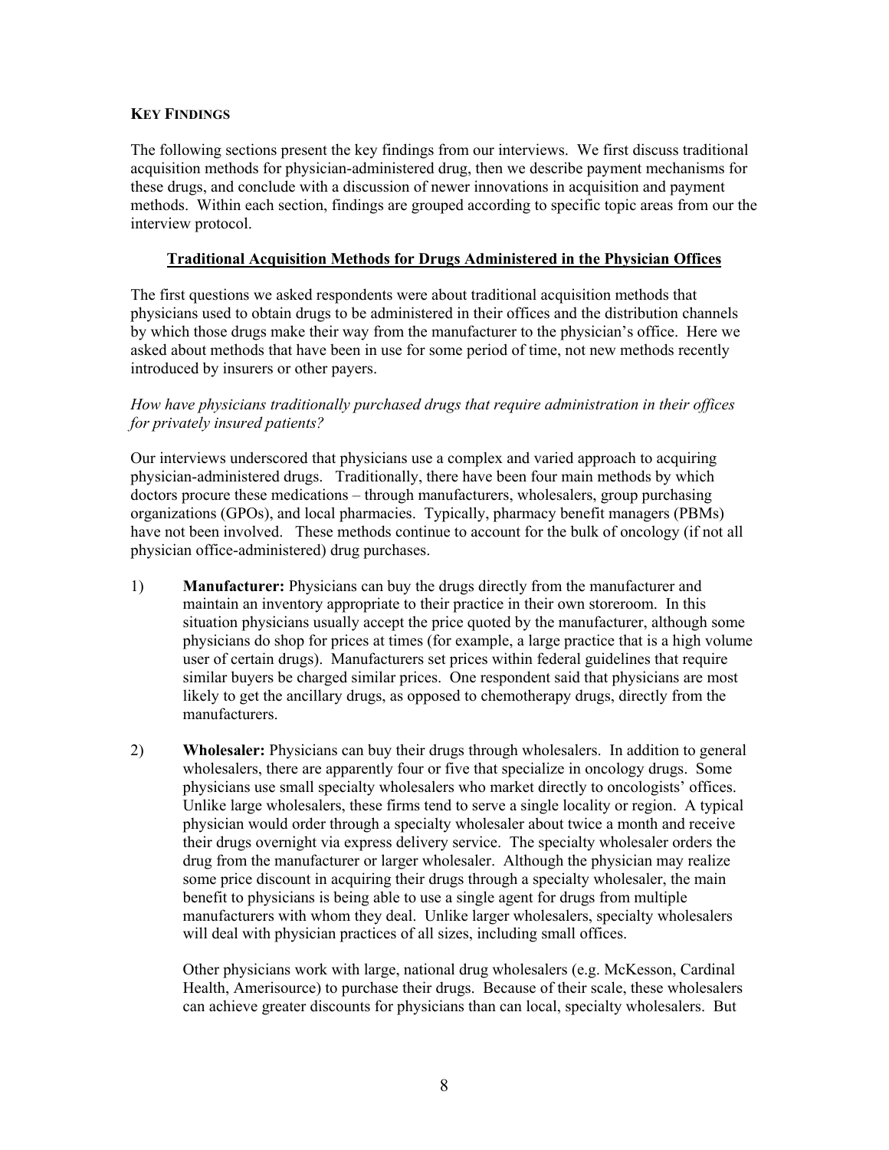# **KEY FINDINGS**

The following sections present the key findings from our interviews. We first discuss traditional acquisition methods for physician-administered drug, then we describe payment mechanisms for these drugs, and conclude with a discussion of newer innovations in acquisition and payment methods. Within each section, findings are grouped according to specific topic areas from our the interview protocol.

# **Traditional Acquisition Methods for Drugs Administered in the Physician Offices**

The first questions we asked respondents were about traditional acquisition methods that physicians used to obtain drugs to be administered in their offices and the distribution channels by which those drugs make their way from the manufacturer to the physician's office. Here we asked about methods that have been in use for some period of time, not new methods recently introduced by insurers or other payers.

# *How have physicians traditionally purchased drugs that require administration in their offices for privately insured patients?*

Our interviews underscored that physicians use a complex and varied approach to acquiring physician-administered drugs. Traditionally, there have been four main methods by which doctors procure these medications – through manufacturers, wholesalers, group purchasing organizations (GPOs), and local pharmacies. Typically, pharmacy benefit managers (PBMs) have not been involved. These methods continue to account for the bulk of oncology (if not all physician office-administered) drug purchases.

- 1) **Manufacturer:** Physicians can buy the drugs directly from the manufacturer and maintain an inventory appropriate to their practice in their own storeroom. In this situation physicians usually accept the price quoted by the manufacturer, although some physicians do shop for prices at times (for example, a large practice that is a high volume user of certain drugs). Manufacturers set prices within federal guidelines that require similar buyers be charged similar prices. One respondent said that physicians are most likely to get the ancillary drugs, as opposed to chemotherapy drugs, directly from the manufacturers.
- 2) **Wholesaler:** Physicians can buy their drugs through wholesalers. In addition to general wholesalers, there are apparently four or five that specialize in oncology drugs. Some physicians use small specialty wholesalers who market directly to oncologists' offices. Unlike large wholesalers, these firms tend to serve a single locality or region. A typical physician would order through a specialty wholesaler about twice a month and receive their drugs overnight via express delivery service. The specialty wholesaler orders the drug from the manufacturer or larger wholesaler. Although the physician may realize some price discount in acquiring their drugs through a specialty wholesaler, the main benefit to physicians is being able to use a single agent for drugs from multiple manufacturers with whom they deal. Unlike larger wholesalers, specialty wholesalers will deal with physician practices of all sizes, including small offices.

Other physicians work with large, national drug wholesalers (e.g. McKesson, Cardinal Health, Amerisource) to purchase their drugs. Because of their scale, these wholesalers can achieve greater discounts for physicians than can local, specialty wholesalers. But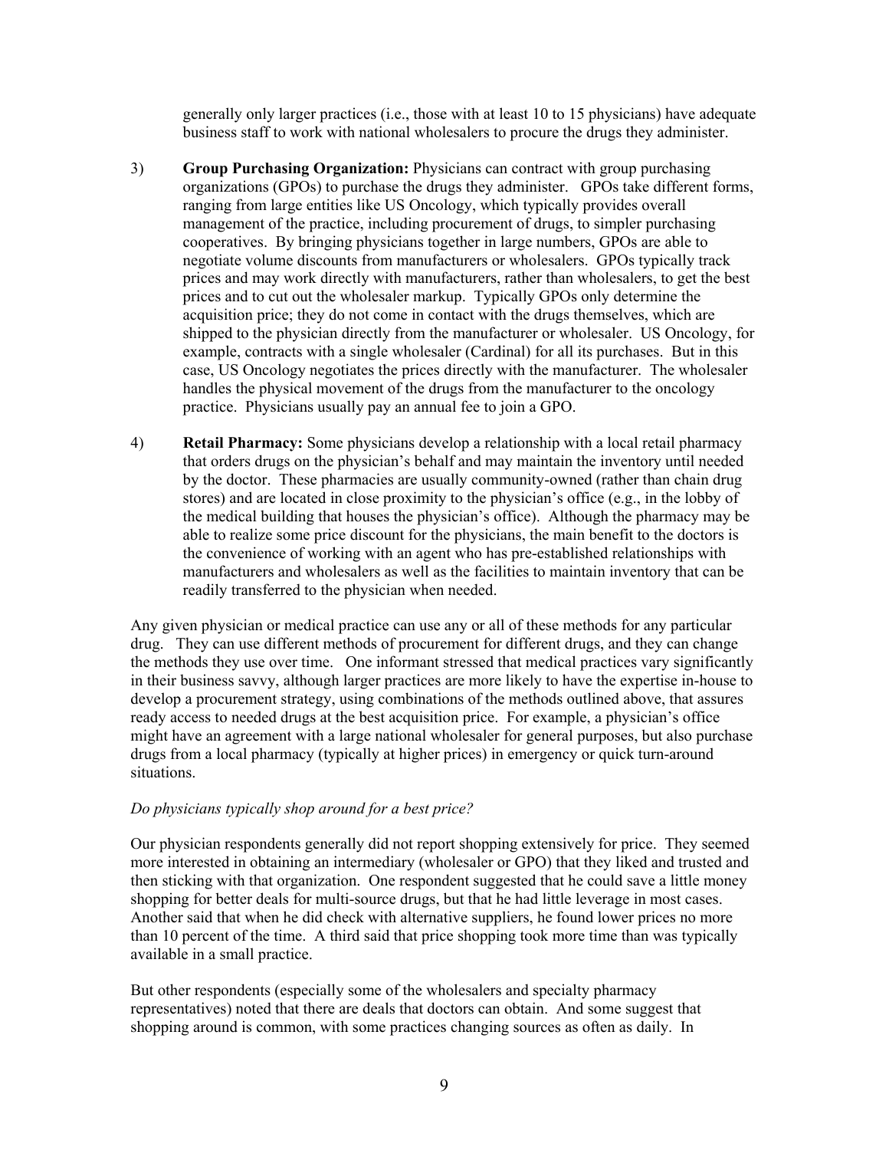generally only larger practices (i.e., those with at least 10 to 15 physicians) have adequate business staff to work with national wholesalers to procure the drugs they administer.

- 3) **Group Purchasing Organization:** Physicians can contract with group purchasing organizations (GPOs) to purchase the drugs they administer. GPOs take different forms, ranging from large entities like US Oncology, which typically provides overall management of the practice, including procurement of drugs, to simpler purchasing cooperatives. By bringing physicians together in large numbers, GPOs are able to negotiate volume discounts from manufacturers or wholesalers. GPOs typically track prices and may work directly with manufacturers, rather than wholesalers, to get the best prices and to cut out the wholesaler markup. Typically GPOs only determine the acquisition price; they do not come in contact with the drugs themselves, which are shipped to the physician directly from the manufacturer or wholesaler. US Oncology, for example, contracts with a single wholesaler (Cardinal) for all its purchases. But in this case, US Oncology negotiates the prices directly with the manufacturer. The wholesaler handles the physical movement of the drugs from the manufacturer to the oncology practice. Physicians usually pay an annual fee to join a GPO.
- 4) **Retail Pharmacy:** Some physicians develop a relationship with a local retail pharmacy that orders drugs on the physician's behalf and may maintain the inventory until needed by the doctor. These pharmacies are usually community-owned (rather than chain drug stores) and are located in close proximity to the physician's office (e.g., in the lobby of the medical building that houses the physician's office). Although the pharmacy may be able to realize some price discount for the physicians, the main benefit to the doctors is the convenience of working with an agent who has pre-established relationships with manufacturers and wholesalers as well as the facilities to maintain inventory that can be readily transferred to the physician when needed.

Any given physician or medical practice can use any or all of these methods for any particular drug. They can use different methods of procurement for different drugs, and they can change the methods they use over time. One informant stressed that medical practices vary significantly in their business savvy, although larger practices are more likely to have the expertise in-house to develop a procurement strategy, using combinations of the methods outlined above, that assures ready access to needed drugs at the best acquisition price. For example, a physician's office might have an agreement with a large national wholesaler for general purposes, but also purchase drugs from a local pharmacy (typically at higher prices) in emergency or quick turn-around situations.

#### *Do physicians typically shop around for a best price?*

Our physician respondents generally did not report shopping extensively for price. They seemed more interested in obtaining an intermediary (wholesaler or GPO) that they liked and trusted and then sticking with that organization. One respondent suggested that he could save a little money shopping for better deals for multi-source drugs, but that he had little leverage in most cases. Another said that when he did check with alternative suppliers, he found lower prices no more than 10 percent of the time. A third said that price shopping took more time than was typically available in a small practice.

But other respondents (especially some of the wholesalers and specialty pharmacy representatives) noted that there are deals that doctors can obtain. And some suggest that shopping around is common, with some practices changing sources as often as daily. In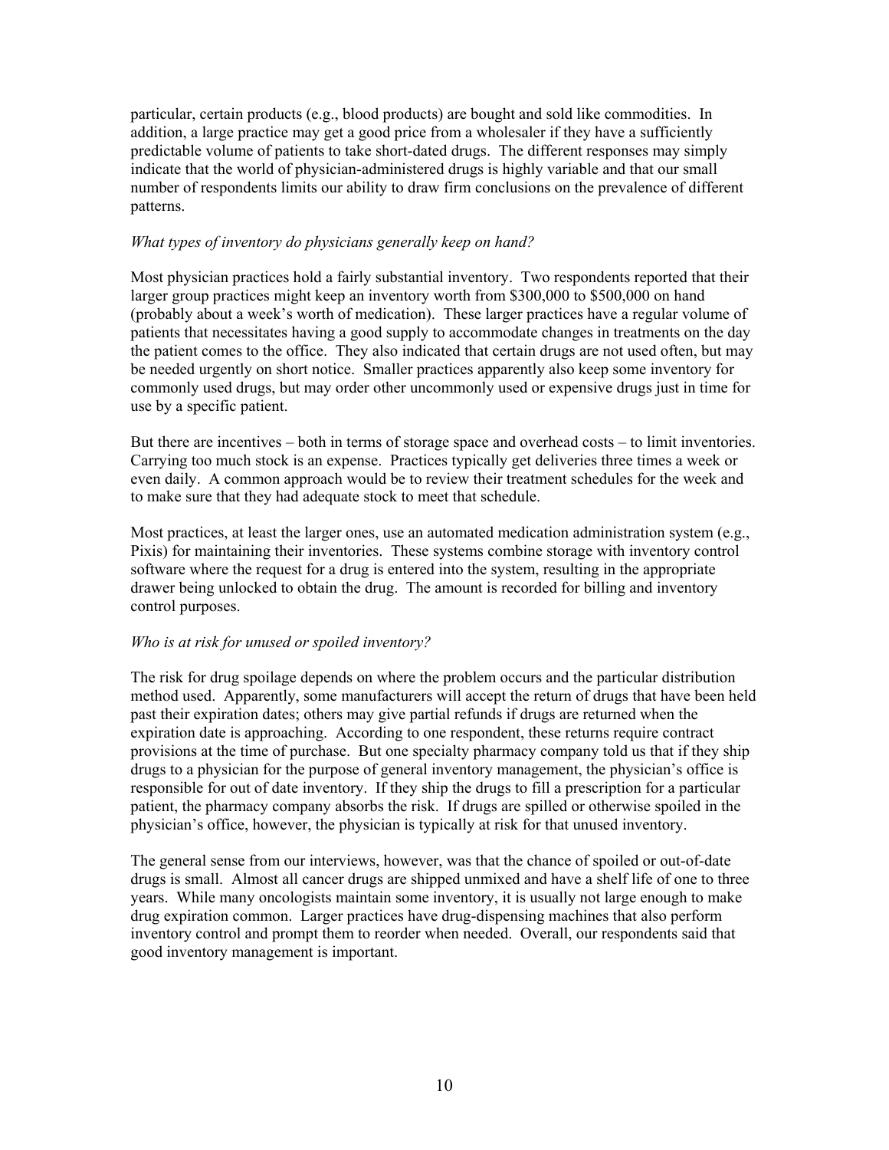particular, certain products (e.g., blood products) are bought and sold like commodities. In addition, a large practice may get a good price from a wholesaler if they have a sufficiently predictable volume of patients to take short-dated drugs. The different responses may simply indicate that the world of physician-administered drugs is highly variable and that our small number of respondents limits our ability to draw firm conclusions on the prevalence of different patterns.

#### *What types of inventory do physicians generally keep on hand?*

Most physician practices hold a fairly substantial inventory. Two respondents reported that their larger group practices might keep an inventory worth from \$300,000 to \$500,000 on hand (probably about a week's worth of medication). These larger practices have a regular volume of patients that necessitates having a good supply to accommodate changes in treatments on the day the patient comes to the office. They also indicated that certain drugs are not used often, but may be needed urgently on short notice. Smaller practices apparently also keep some inventory for commonly used drugs, but may order other uncommonly used or expensive drugs just in time for use by a specific patient.

But there are incentives – both in terms of storage space and overhead costs – to limit inventories. Carrying too much stock is an expense. Practices typically get deliveries three times a week or even daily. A common approach would be to review their treatment schedules for the week and to make sure that they had adequate stock to meet that schedule.

Most practices, at least the larger ones, use an automated medication administration system (e.g., Pixis) for maintaining their inventories. These systems combine storage with inventory control software where the request for a drug is entered into the system, resulting in the appropriate drawer being unlocked to obtain the drug. The amount is recorded for billing and inventory control purposes.

#### *Who is at risk for unused or spoiled inventory?*

The risk for drug spoilage depends on where the problem occurs and the particular distribution method used. Apparently, some manufacturers will accept the return of drugs that have been held past their expiration dates; others may give partial refunds if drugs are returned when the expiration date is approaching. According to one respondent, these returns require contract provisions at the time of purchase. But one specialty pharmacy company told us that if they ship drugs to a physician for the purpose of general inventory management, the physician's office is responsible for out of date inventory. If they ship the drugs to fill a prescription for a particular patient, the pharmacy company absorbs the risk. If drugs are spilled or otherwise spoiled in the physician's office, however, the physician is typically at risk for that unused inventory.

The general sense from our interviews, however, was that the chance of spoiled or out-of-date drugs is small. Almost all cancer drugs are shipped unmixed and have a shelf life of one to three years. While many oncologists maintain some inventory, it is usually not large enough to make drug expiration common. Larger practices have drug-dispensing machines that also perform inventory control and prompt them to reorder when needed. Overall, our respondents said that good inventory management is important.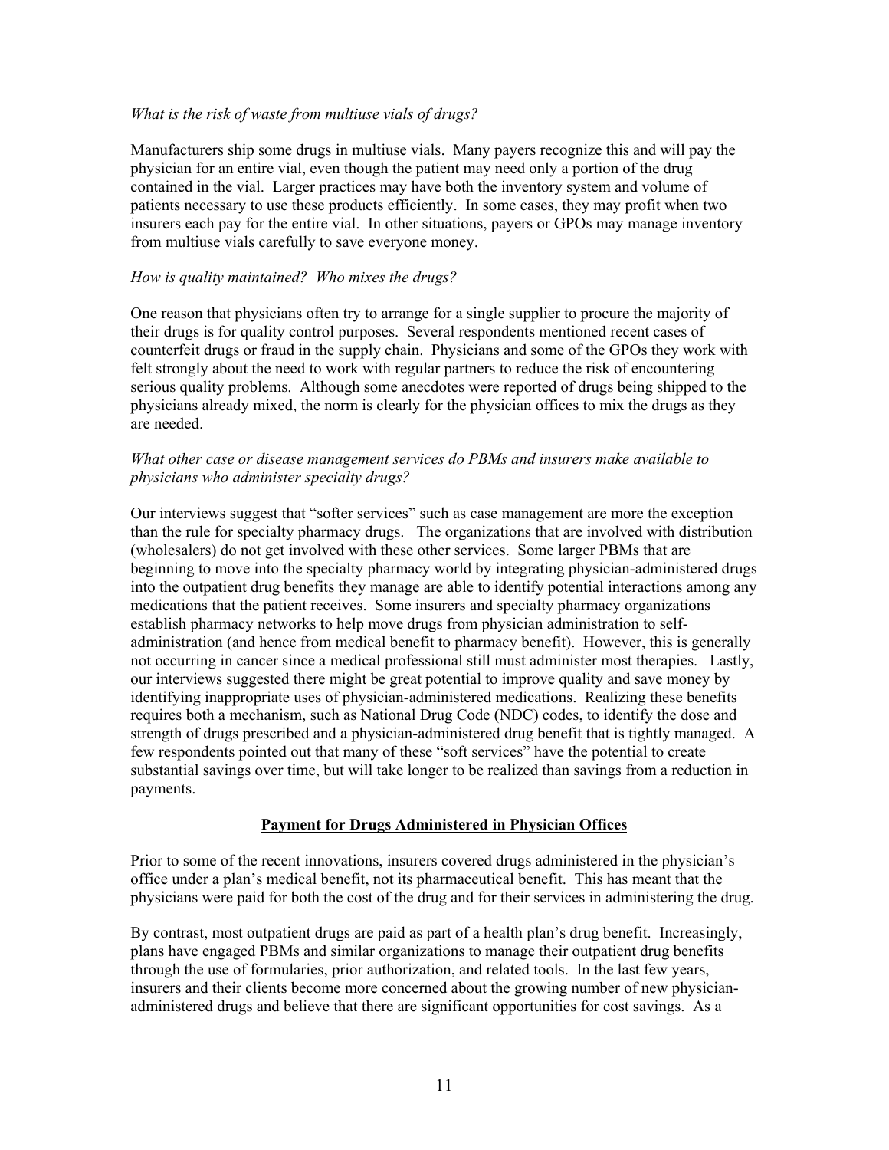#### *What is the risk of waste from multiuse vials of drugs?*

Manufacturers ship some drugs in multiuse vials. Many payers recognize this and will pay the physician for an entire vial, even though the patient may need only a portion of the drug contained in the vial. Larger practices may have both the inventory system and volume of patients necessary to use these products efficiently. In some cases, they may profit when two insurers each pay for the entire vial. In other situations, payers or GPOs may manage inventory from multiuse vials carefully to save everyone money.

#### *How is quality maintained? Who mixes the drugs?*

One reason that physicians often try to arrange for a single supplier to procure the majority of their drugs is for quality control purposes. Several respondents mentioned recent cases of counterfeit drugs or fraud in the supply chain. Physicians and some of the GPOs they work with felt strongly about the need to work with regular partners to reduce the risk of encountering serious quality problems. Although some anecdotes were reported of drugs being shipped to the physicians already mixed, the norm is clearly for the physician offices to mix the drugs as they are needed.

#### *What other case or disease management services do PBMs and insurers make available to physicians who administer specialty drugs?*

Our interviews suggest that "softer services" such as case management are more the exception than the rule for specialty pharmacy drugs. The organizations that are involved with distribution (wholesalers) do not get involved with these other services. Some larger PBMs that are beginning to move into the specialty pharmacy world by integrating physician-administered drugs into the outpatient drug benefits they manage are able to identify potential interactions among any medications that the patient receives. Some insurers and specialty pharmacy organizations establish pharmacy networks to help move drugs from physician administration to selfadministration (and hence from medical benefit to pharmacy benefit). However, this is generally not occurring in cancer since a medical professional still must administer most therapies. Lastly, our interviews suggested there might be great potential to improve quality and save money by identifying inappropriate uses of physician-administered medications. Realizing these benefits requires both a mechanism, such as National Drug Code (NDC) codes, to identify the dose and strength of drugs prescribed and a physician-administered drug benefit that is tightly managed. A few respondents pointed out that many of these "soft services" have the potential to create substantial savings over time, but will take longer to be realized than savings from a reduction in payments.

#### **Payment for Drugs Administered in Physician Offices**

Prior to some of the recent innovations, insurers covered drugs administered in the physician's office under a plan's medical benefit, not its pharmaceutical benefit. This has meant that the physicians were paid for both the cost of the drug and for their services in administering the drug.

By contrast, most outpatient drugs are paid as part of a health plan's drug benefit. Increasingly, plans have engaged PBMs and similar organizations to manage their outpatient drug benefits through the use of formularies, prior authorization, and related tools. In the last few years, insurers and their clients become more concerned about the growing number of new physicianadministered drugs and believe that there are significant opportunities for cost savings. As a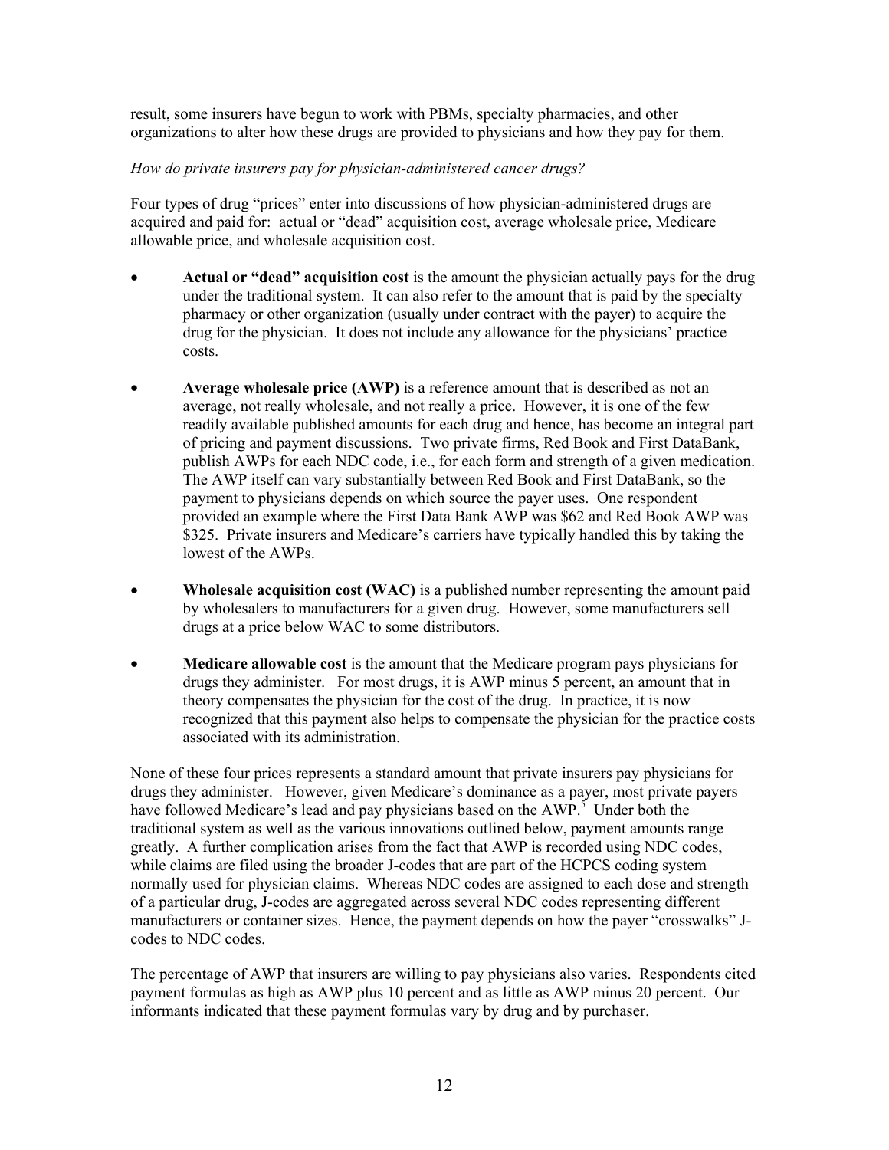result, some insurers have begun to work with PBMs, specialty pharmacies, and other organizations to alter how these drugs are provided to physicians and how they pay for them.

# *How do private insurers pay for physician-administered cancer drugs?*

Four types of drug "prices" enter into discussions of how physician-administered drugs are acquired and paid for: actual or "dead" acquisition cost, average wholesale price, Medicare allowable price, and wholesale acquisition cost.

- **Actual or "dead" acquisition cost** is the amount the physician actually pays for the drug under the traditional system. It can also refer to the amount that is paid by the specialty pharmacy or other organization (usually under contract with the payer) to acquire the drug for the physician. It does not include any allowance for the physicians' practice costs.
- Average wholesale price (AWP) is a reference amount that is described as not an average, not really wholesale, and not really a price. However, it is one of the few readily available published amounts for each drug and hence, has become an integral part of pricing and payment discussions. Two private firms, Red Book and First DataBank, publish AWPs for each NDC code, i.e., for each form and strength of a given medication. The AWP itself can vary substantially between Red Book and First DataBank, so the payment to physicians depends on which source the payer uses. One respondent provided an example where the First Data Bank AWP was \$62 and Red Book AWP was \$325. Private insurers and Medicare's carriers have typically handled this by taking the lowest of the AWPs.
- **Wholesale acquisition cost (WAC)** is a published number representing the amount paid by wholesalers to manufacturers for a given drug. However, some manufacturers sell drugs at a price below WAC to some distributors.
- **Medicare allowable cost** is the amount that the Medicare program pays physicians for drugs they administer. For most drugs, it is AWP minus 5 percent, an amount that in theory compensates the physician for the cost of the drug. In practice, it is now recognized that this payment also helps to compensate the physician for the practice costs associated with its administration.

None of these four prices represents a standard amount that private insurers pay physicians for drugs they administer. However, given Medicare's dominance as a payer, most private payers havefollowed Medicare's lead and pay physicians based on the  $AWP^5$ . Under both the traditional system as well as the various innovations outlined below, payment amounts range greatly. A further complication arises from the fact that AWP is recorded using NDC codes, while claims are filed using the broader J-codes that are part of the HCPCS coding system normally used for physician claims. Whereas NDC codes are assigned to each dose and strength of a particular drug, J-codes are aggregated across several NDC codes representing different manufacturers or container sizes. Hence, the payment depends on how the payer "crosswalks" Jcodes to NDC codes.

The percentage of AWP that insurers are willing to pay physicians also varies. Respondents cited payment formulas as high as AWP plus 10 percent and as little as AWP minus 20 percent. Our informants indicated that these payment formulas vary by drug and by purchaser.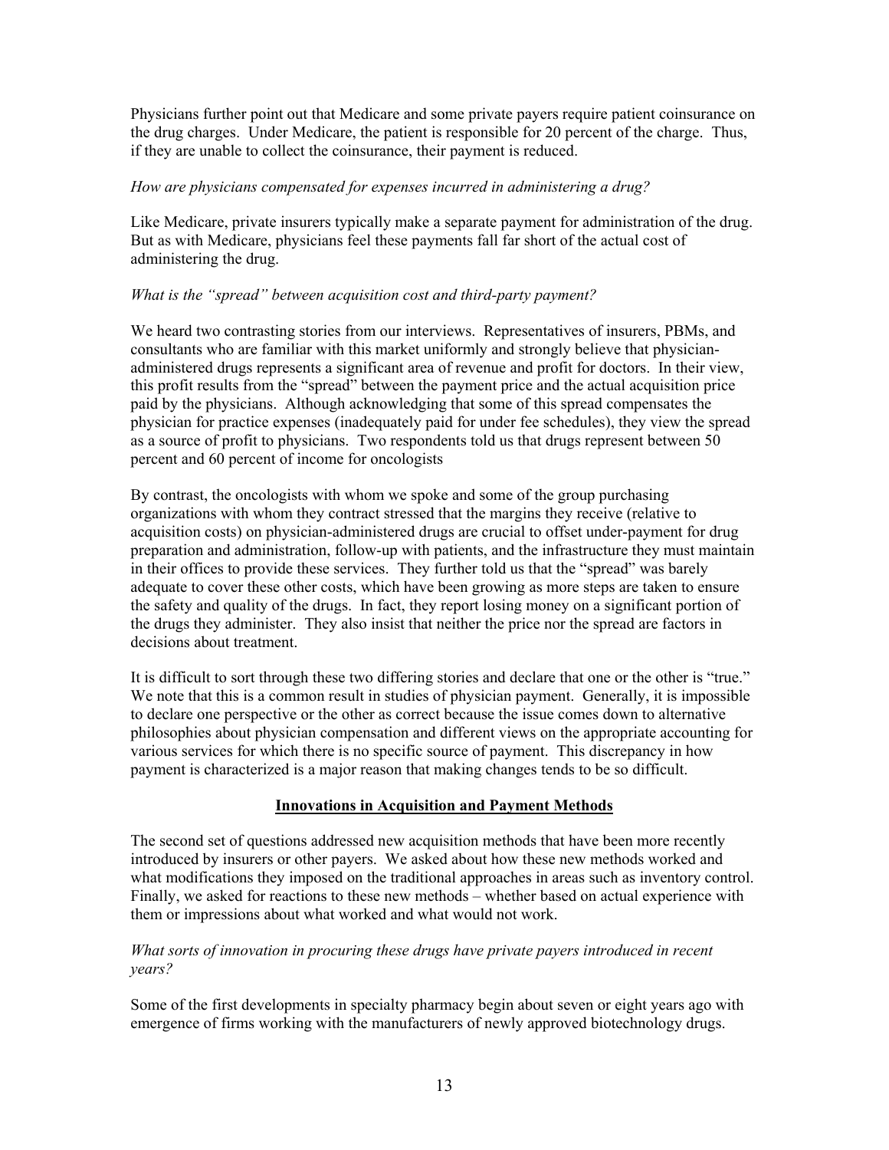Physicians further point out that Medicare and some private payers require patient coinsurance on the drug charges. Under Medicare, the patient is responsible for 20 percent of the charge. Thus, if they are unable to collect the coinsurance, their payment is reduced.

#### *How are physicians compensated for expenses incurred in administering a drug?*

Like Medicare, private insurers typically make a separate payment for administration of the drug. But as with Medicare, physicians feel these payments fall far short of the actual cost of administering the drug.

#### *What is the "spread" between acquisition cost and third-party payment?*

We heard two contrasting stories from our interviews. Representatives of insurers, PBMs, and consultants who are familiar with this market uniformly and strongly believe that physicianadministered drugs represents a significant area of revenue and profit for doctors. In their view, this profit results from the "spread" between the payment price and the actual acquisition price paid by the physicians. Although acknowledging that some of this spread compensates the physician for practice expenses (inadequately paid for under fee schedules), they view the spread as a source of profit to physicians. Two respondents told us that drugs represent between 50 percent and 60 percent of income for oncologists

By contrast, the oncologists with whom we spoke and some of the group purchasing organizations with whom they contract stressed that the margins they receive (relative to acquisition costs) on physician-administered drugs are crucial to offset under-payment for drug preparation and administration, follow-up with patients, and the infrastructure they must maintain in their offices to provide these services. They further told us that the "spread" was barely adequate to cover these other costs, which have been growing as more steps are taken to ensure the safety and quality of the drugs. In fact, they report losing money on a significant portion of the drugs they administer. They also insist that neither the price nor the spread are factors in decisions about treatment.

It is difficult to sort through these two differing stories and declare that one or the other is "true." We note that this is a common result in studies of physician payment. Generally, it is impossible to declare one perspective or the other as correct because the issue comes down to alternative philosophies about physician compensation and different views on the appropriate accounting for various services for which there is no specific source of payment. This discrepancy in how payment is characterized is a major reason that making changes tends to be so difficult.

#### **Innovations in Acquisition and Payment Methods**

The second set of questions addressed new acquisition methods that have been more recently introduced by insurers or other payers. We asked about how these new methods worked and what modifications they imposed on the traditional approaches in areas such as inventory control. Finally, we asked for reactions to these new methods – whether based on actual experience with them or impressions about what worked and what would not work.

#### *What sorts of innovation in procuring these drugs have private payers introduced in recent years?*

Some of the first developments in specialty pharmacy begin about seven or eight years ago with emergence of firms working with the manufacturers of newly approved biotechnology drugs.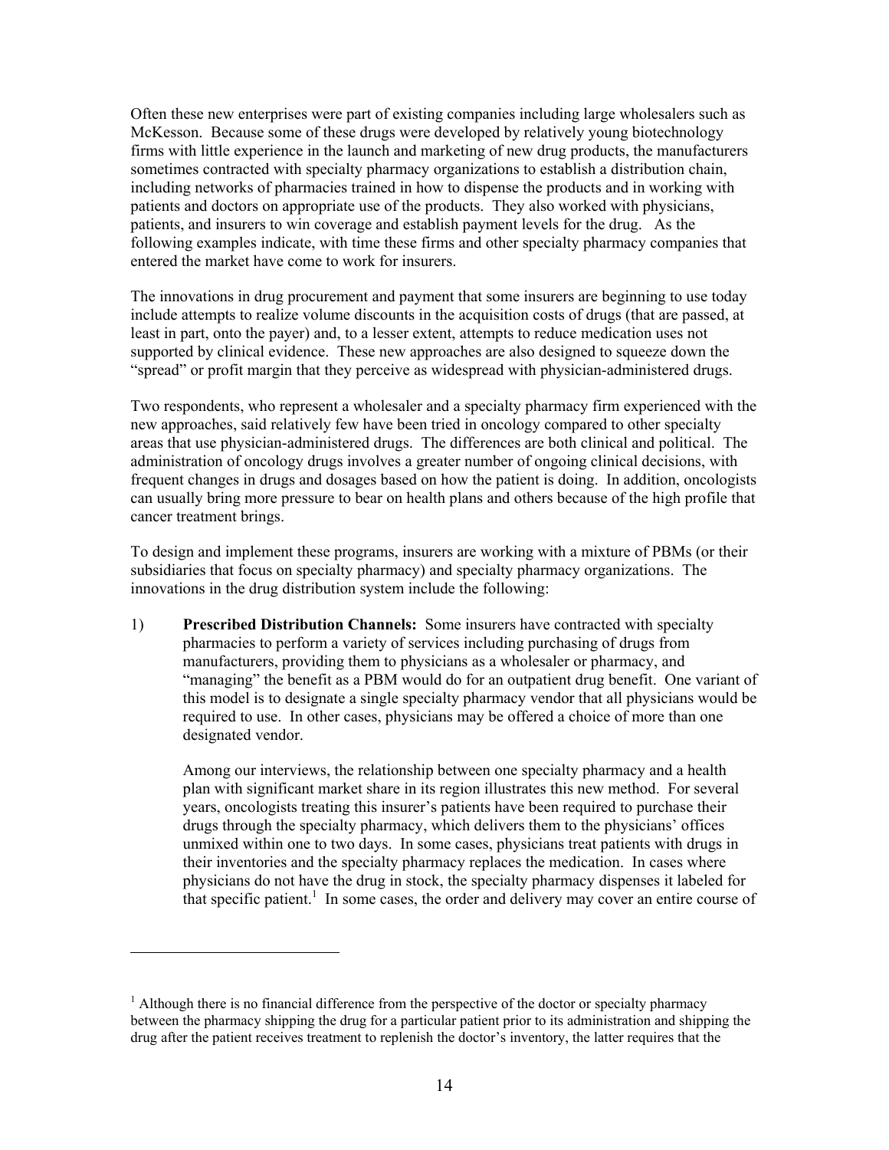Often these new enterprises were part of existing companies including large wholesalers such as McKesson. Because some of these drugs were developed by relatively young biotechnology firms with little experience in the launch and marketing of new drug products, the manufacturers sometimes contracted with specialty pharmacy organizations to establish a distribution chain, including networks of pharmacies trained in how to dispense the products and in working with patients and doctors on appropriate use of the products. They also worked with physicians, patients, and insurers to win coverage and establish payment levels for the drug. As the following examples indicate, with time these firms and other specialty pharmacy companies that entered the market have come to work for insurers.

The innovations in drug procurement and payment that some insurers are beginning to use today include attempts to realize volume discounts in the acquisition costs of drugs (that are passed, at least in part, onto the payer) and, to a lesser extent, attempts to reduce medication uses not supported by clinical evidence. These new approaches are also designed to squeeze down the "spread" or profit margin that they perceive as widespread with physician-administered drugs.

Two respondents, who represent a wholesaler and a specialty pharmacy firm experienced with the new approaches, said relatively few have been tried in oncology compared to other specialty areas that use physician-administered drugs. The differences are both clinical and political. The administration of oncology drugs involves a greater number of ongoing clinical decisions, with frequent changes in drugs and dosages based on how the patient is doing. In addition, oncologists can usually bring more pressure to bear on health plans and others because of the high profile that cancer treatment brings.

To design and implement these programs, insurers are working with a mixture of PBMs (or their subsidiaries that focus on specialty pharmacy) and specialty pharmacy organizations. The innovations in the drug distribution system include the following:

1) **Prescribed Distribution Channels:** Some insurers have contracted with specialty pharmacies to perform a variety of services including purchasing of drugs from manufacturers, providing them to physicians as a wholesaler or pharmacy, and "managing" the benefit as a PBM would do for an outpatient drug benefit. One variant of this model is to designate a single specialty pharmacy vendor that all physicians would be required to use. In other cases, physicians may be offered a choice of more than one designated vendor.

Among our interviews, the relationship between one specialty pharmacy and a health plan with significant market share in its region illustrates this new method. For several years, oncologists treating this insurer's patients have been required to purchase their drugs through the specialty pharmacy, which delivers them to the physicians' offices unmixed within one to two days. In some cases, physicians treat patients with drugs in their inventories and the specialty pharmacy replaces the medication. In cases where physicians do not have the drug in stock, the specialty pharmacy dispenses it labeled for thatspecific patient.<sup>1</sup> In some cases, the order and delivery may cover an entire course of

 $\overline{a}$ 

<span id="page-14-0"></span> $<sup>1</sup>$  Although there is no financial difference from the perspective of the doctor or specialty pharmacy</sup> between the pharmacy shipping the drug for a particular patient prior to its administration and shipping the drug after the patient receives treatment to replenish the doctor's inventory, the latter requires that the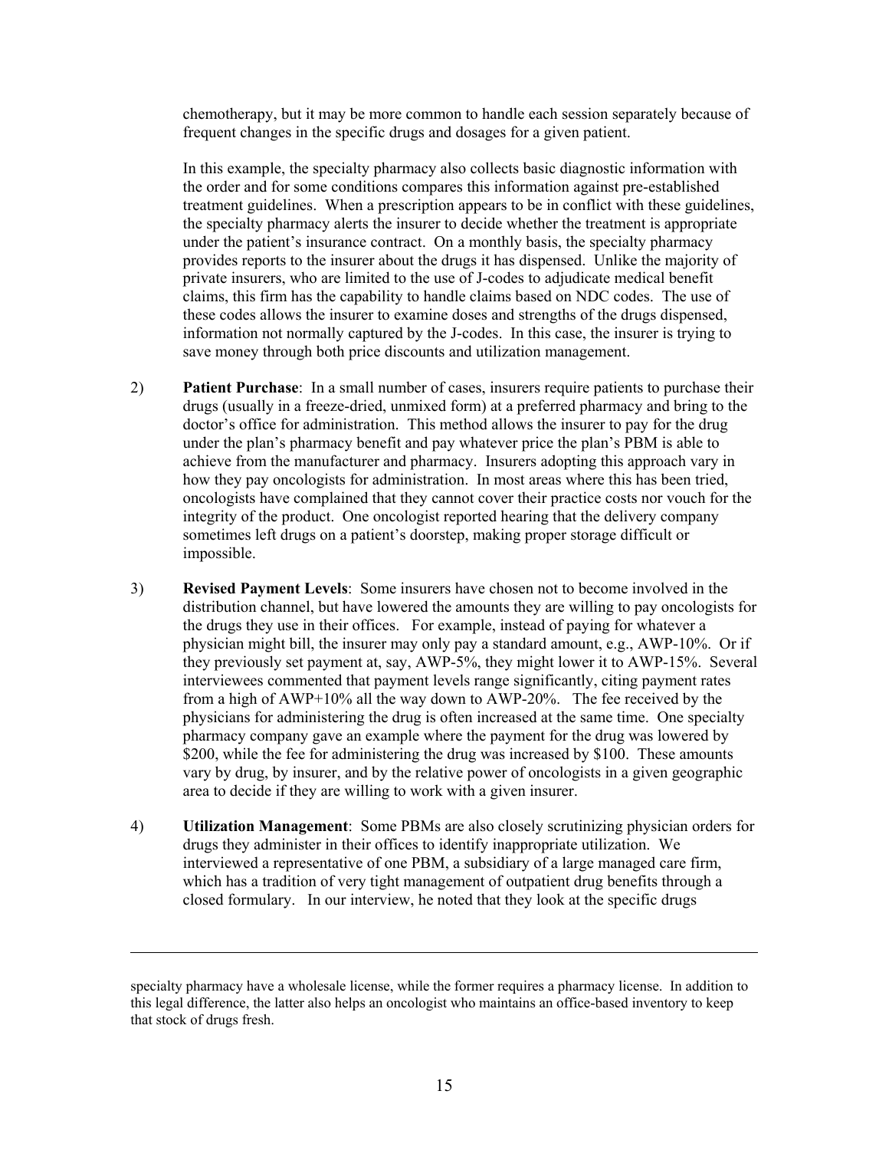chemotherapy, but it may be more common to handle each session separately because of frequent changes in the specific drugs and dosages for a given patient.

In this example, the specialty pharmacy also collects basic diagnostic information with the order and for some conditions compares this information against pre-established treatment guidelines. When a prescription appears to be in conflict with these guidelines, the specialty pharmacy alerts the insurer to decide whether the treatment is appropriate under the patient's insurance contract. On a monthly basis, the specialty pharmacy provides reports to the insurer about the drugs it has dispensed. Unlike the majority of private insurers, who are limited to the use of J-codes to adjudicate medical benefit claims, this firm has the capability to handle claims based on NDC codes. The use of these codes allows the insurer to examine doses and strengths of the drugs dispensed, information not normally captured by the J-codes. In this case, the insurer is trying to save money through both price discounts and utilization management.

- 2) **Patient Purchase**: In a small number of cases, insurers require patients to purchase their drugs (usually in a freeze-dried, unmixed form) at a preferred pharmacy and bring to the doctor's office for administration. This method allows the insurer to pay for the drug under the plan's pharmacy benefit and pay whatever price the plan's PBM is able to achieve from the manufacturer and pharmacy. Insurers adopting this approach vary in how they pay oncologists for administration. In most areas where this has been tried, oncologists have complained that they cannot cover their practice costs nor vouch for the integrity of the product. One oncologist reported hearing that the delivery company sometimes left drugs on a patient's doorstep, making proper storage difficult or impossible.
- 3) **Revised Payment Levels**: Some insurers have chosen not to become involved in the distribution channel, but have lowered the amounts they are willing to pay oncologists for the drugs they use in their offices. For example, instead of paying for whatever a physician might bill, the insurer may only pay a standard amount, e.g., AWP-10%. Or if they previously set payment at, say, AWP-5%, they might lower it to AWP-15%. Several interviewees commented that payment levels range significantly, citing payment rates from a high of AWP+10% all the way down to AWP-20%. The fee received by the physicians for administering the drug is often increased at the same time. One specialty pharmacy company gave an example where the payment for the drug was lowered by \$200, while the fee for administering the drug was increased by \$100. These amounts vary by drug, by insurer, and by the relative power of oncologists in a given geographic area to decide if they are willing to work with a given insurer.
- 4) **Utilization Management**: Some PBMs are also closely scrutinizing physician orders for drugs they administer in their offices to identify inappropriate utilization. We interviewed a representative of one PBM, a subsidiary of a large managed care firm, which has a tradition of very tight management of outpatient drug benefits through a closed formulary. In our interview, he noted that they look at the specific drugs

 $\overline{a}$ 

specialty pharmacy have a wholesale license, while the former requires a pharmacy license. In addition to this legal difference, the latter also helps an oncologist who maintains an office-based inventory to keep that stock of drugs fresh.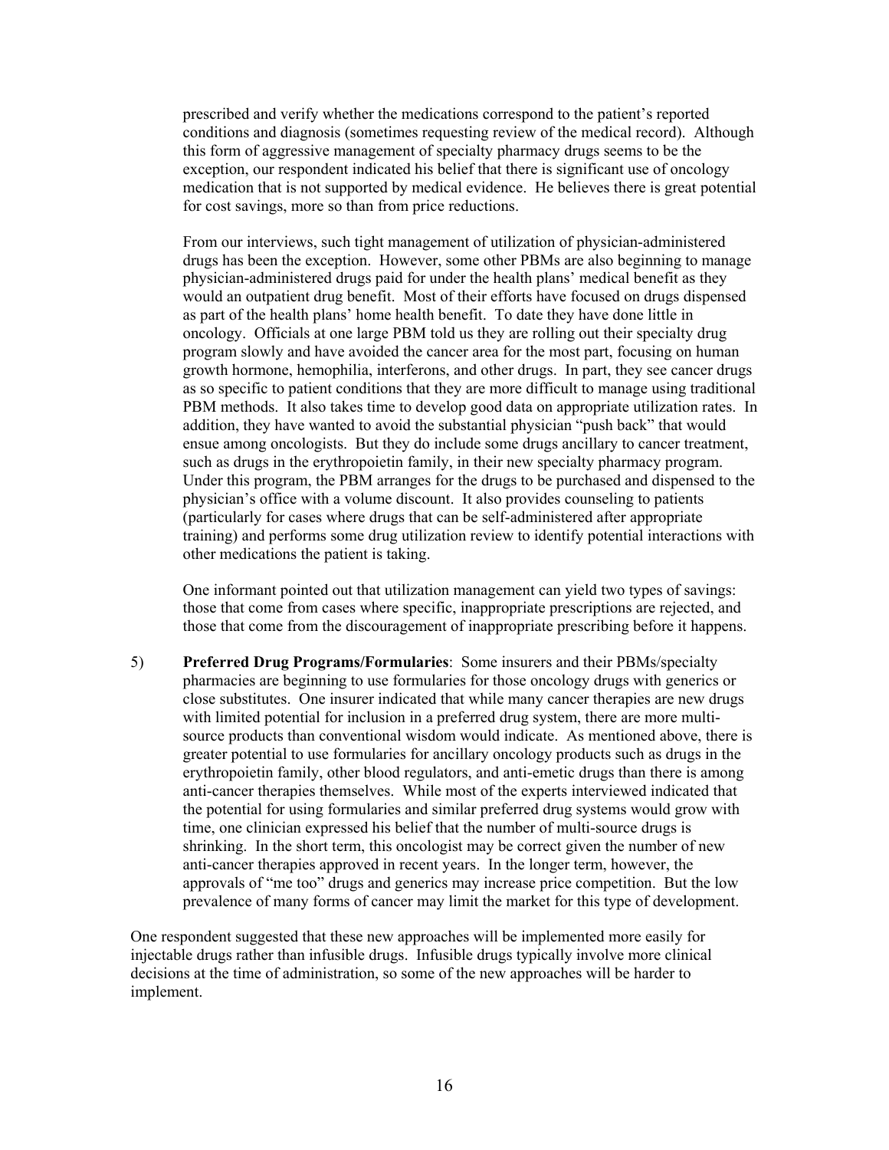prescribed and verify whether the medications correspond to the patient's reported conditions and diagnosis (sometimes requesting review of the medical record). Although this form of aggressive management of specialty pharmacy drugs seems to be the exception, our respondent indicated his belief that there is significant use of oncology medication that is not supported by medical evidence. He believes there is great potential for cost savings, more so than from price reductions.

From our interviews, such tight management of utilization of physician-administered drugs has been the exception. However, some other PBMs are also beginning to manage physician-administered drugs paid for under the health plans' medical benefit as they would an outpatient drug benefit. Most of their efforts have focused on drugs dispensed as part of the health plans' home health benefit. To date they have done little in oncology. Officials at one large PBM told us they are rolling out their specialty drug program slowly and have avoided the cancer area for the most part, focusing on human growth hormone, hemophilia, interferons, and other drugs. In part, they see cancer drugs as so specific to patient conditions that they are more difficult to manage using traditional PBM methods. It also takes time to develop good data on appropriate utilization rates. In addition, they have wanted to avoid the substantial physician "push back" that would ensue among oncologists. But they do include some drugs ancillary to cancer treatment, such as drugs in the erythropoietin family, in their new specialty pharmacy program. Under this program, the PBM arranges for the drugs to be purchased and dispensed to the physician's office with a volume discount. It also provides counseling to patients (particularly for cases where drugs that can be self-administered after appropriate training) and performs some drug utilization review to identify potential interactions with other medications the patient is taking.

One informant pointed out that utilization management can yield two types of savings: those that come from cases where specific, inappropriate prescriptions are rejected, and those that come from the discouragement of inappropriate prescribing before it happens.

5) **Preferred Drug Programs/Formularies**: Some insurers and their PBMs/specialty pharmacies are beginning to use formularies for those oncology drugs with generics or close substitutes. One insurer indicated that while many cancer therapies are new drugs with limited potential for inclusion in a preferred drug system, there are more multisource products than conventional wisdom would indicate. As mentioned above, there is greater potential to use formularies for ancillary oncology products such as drugs in the erythropoietin family, other blood regulators, and anti-emetic drugs than there is among anti-cancer therapies themselves. While most of the experts interviewed indicated that the potential for using formularies and similar preferred drug systems would grow with time, one clinician expressed his belief that the number of multi-source drugs is shrinking. In the short term, this oncologist may be correct given the number of new anti-cancer therapies approved in recent years. In the longer term, however, the approvals of "me too" drugs and generics may increase price competition. But the low prevalence of many forms of cancer may limit the market for this type of development.

One respondent suggested that these new approaches will be implemented more easily for injectable drugs rather than infusible drugs. Infusible drugs typically involve more clinical decisions at the time of administration, so some of the new approaches will be harder to implement.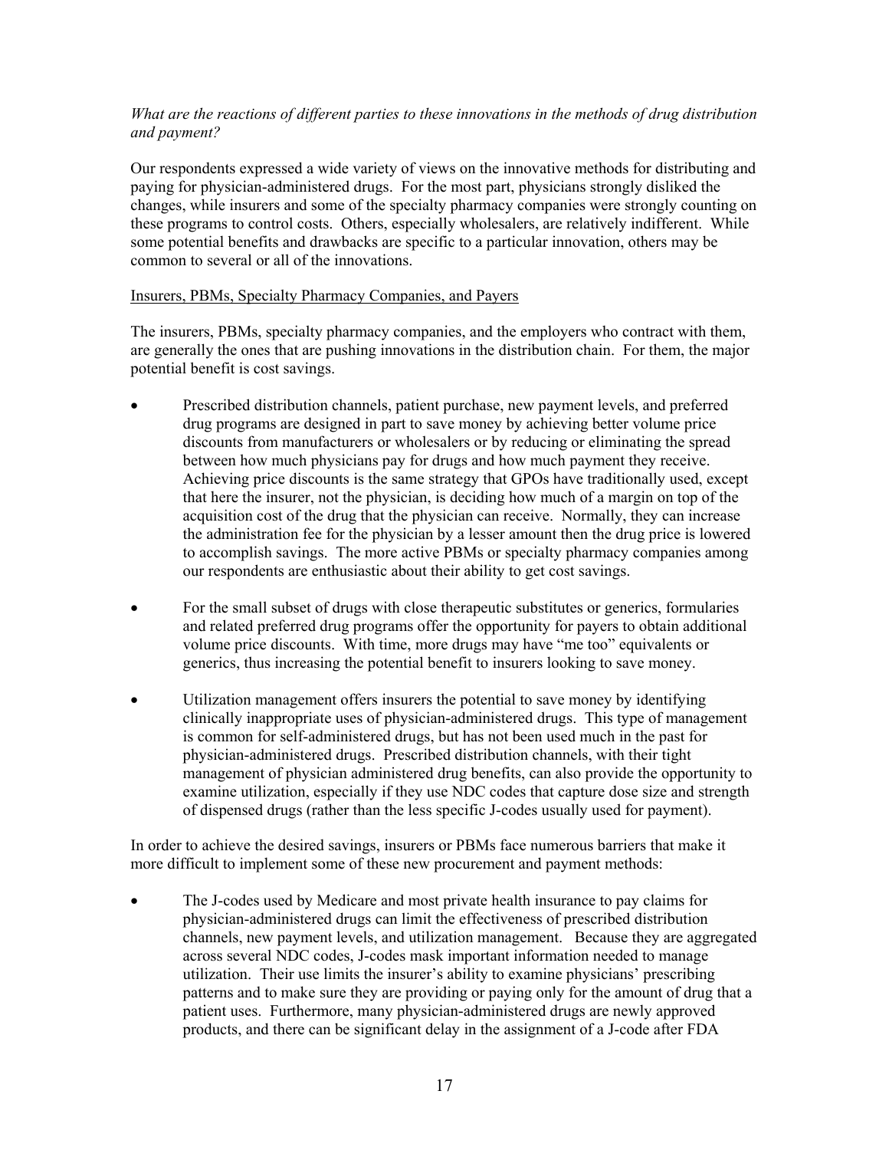# *What are the reactions of different parties to these innovations in the methods of drug distribution and payment?*

Our respondents expressed a wide variety of views on the innovative methods for distributing and paying for physician-administered drugs. For the most part, physicians strongly disliked the changes, while insurers and some of the specialty pharmacy companies were strongly counting on these programs to control costs. Others, especially wholesalers, are relatively indifferent. While some potential benefits and drawbacks are specific to a particular innovation, others may be common to several or all of the innovations.

#### Insurers, PBMs, Specialty Pharmacy Companies, and Payers

The insurers, PBMs, specialty pharmacy companies, and the employers who contract with them, are generally the ones that are pushing innovations in the distribution chain. For them, the major potential benefit is cost savings.

- Prescribed distribution channels, patient purchase, new payment levels, and preferred drug programs are designed in part to save money by achieving better volume price discounts from manufacturers or wholesalers or by reducing or eliminating the spread between how much physicians pay for drugs and how much payment they receive. Achieving price discounts is the same strategy that GPOs have traditionally used, except that here the insurer, not the physician, is deciding how much of a margin on top of the acquisition cost of the drug that the physician can receive. Normally, they can increase the administration fee for the physician by a lesser amount then the drug price is lowered to accomplish savings. The more active PBMs or specialty pharmacy companies among our respondents are enthusiastic about their ability to get cost savings.
- For the small subset of drugs with close therapeutic substitutes or generics, formularies and related preferred drug programs offer the opportunity for payers to obtain additional volume price discounts. With time, more drugs may have "me too" equivalents or generics, thus increasing the potential benefit to insurers looking to save money.
- Utilization management offers insurers the potential to save money by identifying clinically inappropriate uses of physician-administered drugs. This type of management is common for self-administered drugs, but has not been used much in the past for physician-administered drugs. Prescribed distribution channels, with their tight management of physician administered drug benefits, can also provide the opportunity to examine utilization, especially if they use NDC codes that capture dose size and strength of dispensed drugs (rather than the less specific J-codes usually used for payment).

In order to achieve the desired savings, insurers or PBMs face numerous barriers that make it more difficult to implement some of these new procurement and payment methods:

• The J-codes used by Medicare and most private health insurance to pay claims for physician-administered drugs can limit the effectiveness of prescribed distribution channels, new payment levels, and utilization management. Because they are aggregated across several NDC codes, J-codes mask important information needed to manage utilization. Their use limits the insurer's ability to examine physicians' prescribing patterns and to make sure they are providing or paying only for the amount of drug that a patient uses. Furthermore, many physician-administered drugs are newly approved products, and there can be significant delay in the assignment of a J-code after FDA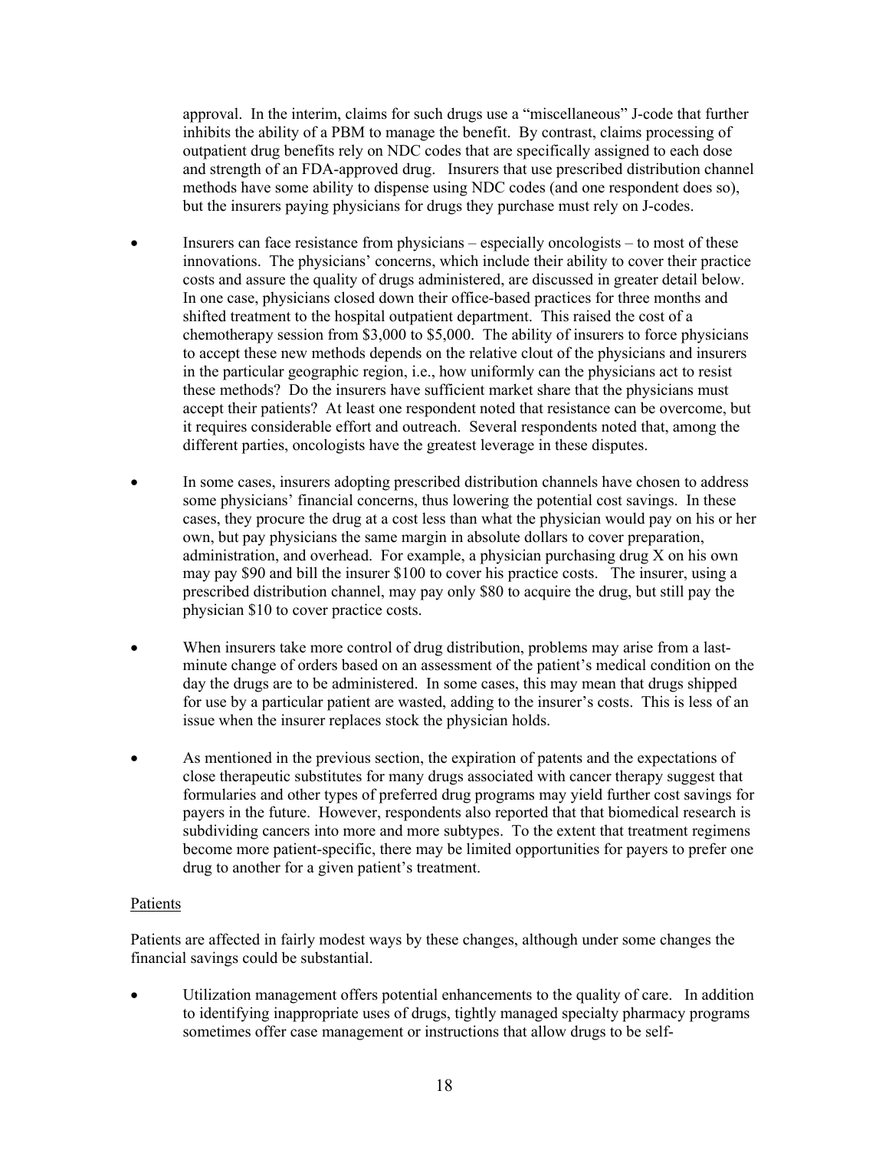approval. In the interim, claims for such drugs use a "miscellaneous" J-code that further inhibits the ability of a PBM to manage the benefit. By contrast, claims processing of outpatient drug benefits rely on NDC codes that are specifically assigned to each dose and strength of an FDA-approved drug. Insurers that use prescribed distribution channel methods have some ability to dispense using NDC codes (and one respondent does so), but the insurers paying physicians for drugs they purchase must rely on J-codes.

- Insurers can face resistance from physicians especially oncologists to most of these innovations. The physicians' concerns, which include their ability to cover their practice costs and assure the quality of drugs administered, are discussed in greater detail below. In one case, physicians closed down their office-based practices for three months and shifted treatment to the hospital outpatient department. This raised the cost of a chemotherapy session from \$3,000 to \$5,000. The ability of insurers to force physicians to accept these new methods depends on the relative clout of the physicians and insurers in the particular geographic region, i.e., how uniformly can the physicians act to resist these methods? Do the insurers have sufficient market share that the physicians must accept their patients? At least one respondent noted that resistance can be overcome, but it requires considerable effort and outreach. Several respondents noted that, among the different parties, oncologists have the greatest leverage in these disputes.
- In some cases, insurers adopting prescribed distribution channels have chosen to address some physicians' financial concerns, thus lowering the potential cost savings. In these cases, they procure the drug at a cost less than what the physician would pay on his or her own, but pay physicians the same margin in absolute dollars to cover preparation, administration, and overhead. For example, a physician purchasing drug X on his own may pay \$90 and bill the insurer \$100 to cover his practice costs. The insurer, using a prescribed distribution channel, may pay only \$80 to acquire the drug, but still pay the physician \$10 to cover practice costs.
- When insurers take more control of drug distribution, problems may arise from a lastminute change of orders based on an assessment of the patient's medical condition on the day the drugs are to be administered. In some cases, this may mean that drugs shipped for use by a particular patient are wasted, adding to the insurer's costs. This is less of an issue when the insurer replaces stock the physician holds.
- As mentioned in the previous section, the expiration of patents and the expectations of close therapeutic substitutes for many drugs associated with cancer therapy suggest that formularies and other types of preferred drug programs may yield further cost savings for payers in the future. However, respondents also reported that that biomedical research is subdividing cancers into more and more subtypes. To the extent that treatment regimens become more patient-specific, there may be limited opportunities for payers to prefer one drug to another for a given patient's treatment.

# Patients

Patients are affected in fairly modest ways by these changes, although under some changes the financial savings could be substantial.

• Utilization management offers potential enhancements to the quality of care. In addition to identifying inappropriate uses of drugs, tightly managed specialty pharmacy programs sometimes offer case management or instructions that allow drugs to be self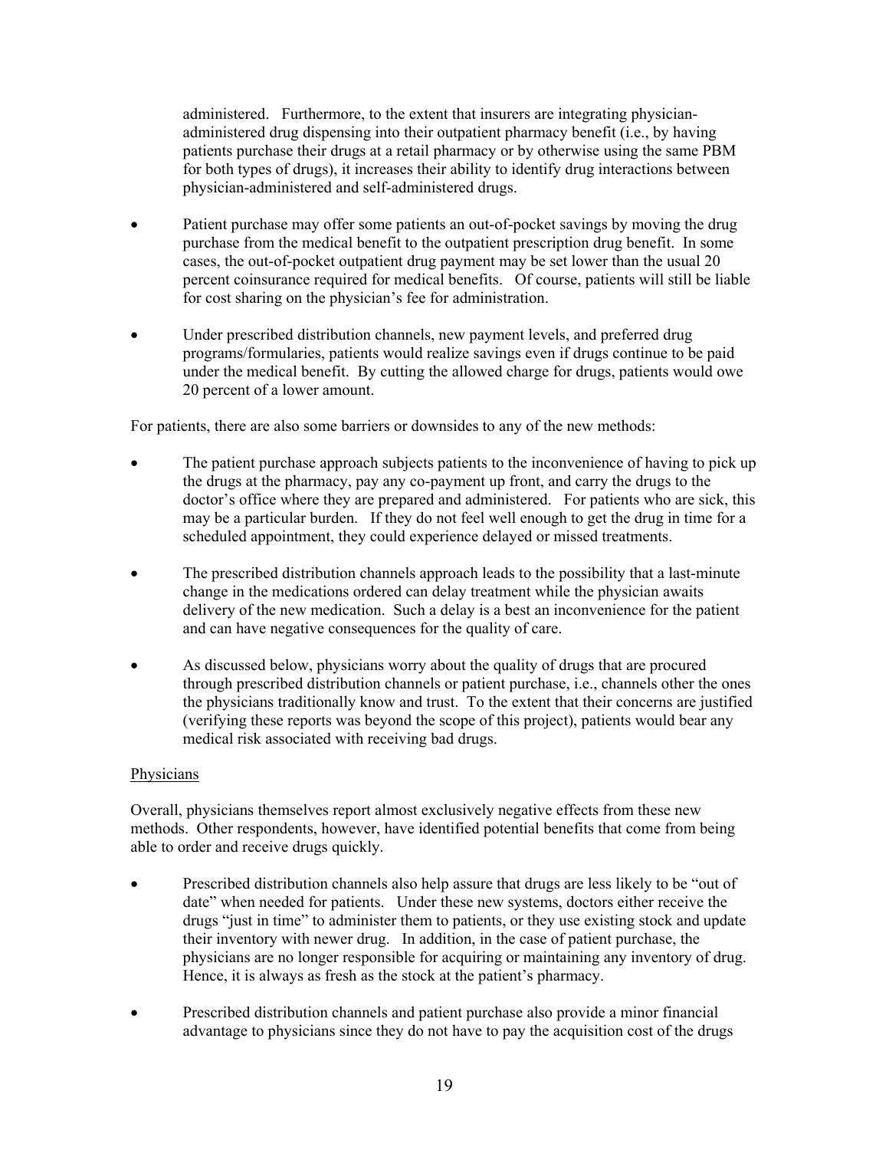administered. Furthermore, to the extent that insurers are integrating physicianadministered drug dispensing into their outpatient pharmacy benefit (i.e., by having patients purchase their drugs at a retail pharmacy or by otherwise using the same PBM for both types of drugs), it increases their ability to identify drug interactions between physician-administered and self-administered drugs.

- Patient purchase may offer some patients an out-of-pocket savings by moving the drug purchase from the medical benefit to the outpatient prescription drug benefit. In some cases, the out-of-pocket outpatient drug payment may be set lower than the usual 20 percent coinsurance required for medical benefits. Of course, patients will still be liable for cost sharing on the physician's fee for administration.
- Under prescribed distribution channels, new payment levels, and preferred drug programs/formularies, patients would realize savings even if drugs continue to be paid under the medical benefit. By cutting the allowed charge for drugs, patients would owe 20 percent of a lower amount.

For patients, there are also some barriers or downsides to any of the new methods:

- The patient purchase approach subjects patients to the inconvenience of having to pick up the drugs at the pharmacy, pay any co-payment up front, and carry the drugs to the doctor's office where they are prepared and administered. For patients who are sick, this may be a particular burden. If they do not feel well enough to get the drug in time for a scheduled appointment, they could experience delayed or missed treatments.
- The prescribed distribution channels approach leads to the possibility that a last-minute change in the medications ordered can delay treatment while the physician awaits delivery of the new medication. Such a delay is a best an inconvenience for the patient and can have negative consequences for the quality of care.
- As discussed below, physicians worry about the quality of drugs that are procured through prescribed distribution channels or patient purchase, i.e., channels other the ones the physicians traditionally know and trust. To the extent that their concerns are justified (verifying these reports was beyond the scope of this project), patients would bear any medical risk associated with receiving bad drugs.

#### **Physicians**

Overall, physicians themselves report almost exclusively negative effects from these new methods. Other respondents, however, have identified potential benefits that come from being able to order and receive drugs quickly.

- Prescribed distribution channels also help assure that drugs are less likely to be "out of date" when needed for patients. Under these new systems, doctors either receive the drugs "just in time" to administer them to patients, or they use existing stock and update their inventory with newer drug. In addition, in the case of patient purchase, the physicians are no longer responsible for acquiring or maintaining any inventory of drug. Hence, it is always as fresh as the stock at the patient's pharmacy.
- Prescribed distribution channels and patient purchase also provide a minor financial advantage to physicians since they do not have to pay the acquisition cost of the drugs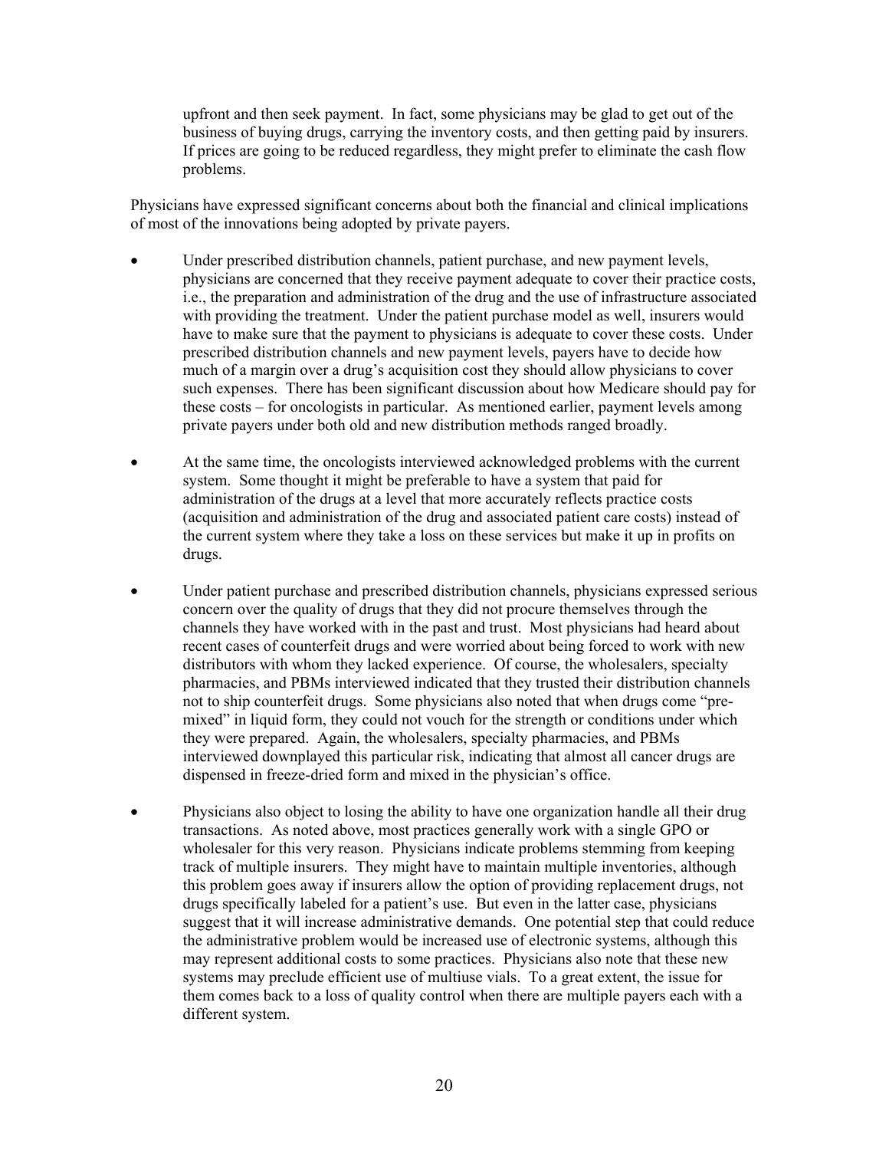upfront and then seek payment. In fact, some physicians may be glad to get out of the business of buying drugs, carrying the inventory costs, and then getting paid by insurers. If prices are going to be reduced regardless, they might prefer to eliminate the cash flow problems.

Physicians have expressed significant concerns about both the financial and clinical implications of most of the innovations being adopted by private payers.

- Under prescribed distribution channels, patient purchase, and new payment levels, physicians are concerned that they receive payment adequate to cover their practice costs, i.e., the preparation and administration of the drug and the use of infrastructure associated with providing the treatment. Under the patient purchase model as well, insurers would have to make sure that the payment to physicians is adequate to cover these costs. Under prescribed distribution channels and new payment levels, payers have to decide how much of a margin over a drug's acquisition cost they should allow physicians to cover such expenses. There has been significant discussion about how Medicare should pay for these costs – for oncologists in particular. As mentioned earlier, payment levels among private payers under both old and new distribution methods ranged broadly.
- At the same time, the oncologists interviewed acknowledged problems with the current system. Some thought it might be preferable to have a system that paid for administration of the drugs at a level that more accurately reflects practice costs (acquisition and administration of the drug and associated patient care costs) instead of the current system where they take a loss on these services but make it up in profits on drugs.
- Under patient purchase and prescribed distribution channels, physicians expressed serious concern over the quality of drugs that they did not procure themselves through the channels they have worked with in the past and trust. Most physicians had heard about recent cases of counterfeit drugs and were worried about being forced to work with new distributors with whom they lacked experience. Of course, the wholesalers, specialty pharmacies, and PBMs interviewed indicated that they trusted their distribution channels not to ship counterfeit drugs. Some physicians also noted that when drugs come "premixed" in liquid form, they could not vouch for the strength or conditions under which they were prepared. Again, the wholesalers, specialty pharmacies, and PBMs interviewed downplayed this particular risk, indicating that almost all cancer drugs are dispensed in freeze-dried form and mixed in the physician's office.
- Physicians also object to losing the ability to have one organization handle all their drug transactions. As noted above, most practices generally work with a single GPO or wholesaler for this very reason. Physicians indicate problems stemming from keeping track of multiple insurers. They might have to maintain multiple inventories, although this problem goes away if insurers allow the option of providing replacement drugs, not drugs specifically labeled for a patient's use. But even in the latter case, physicians suggest that it will increase administrative demands. One potential step that could reduce the administrative problem would be increased use of electronic systems, although this may represent additional costs to some practices. Physicians also note that these new systems may preclude efficient use of multiuse vials. To a great extent, the issue for them comes back to a loss of quality control when there are multiple payers each with a different system.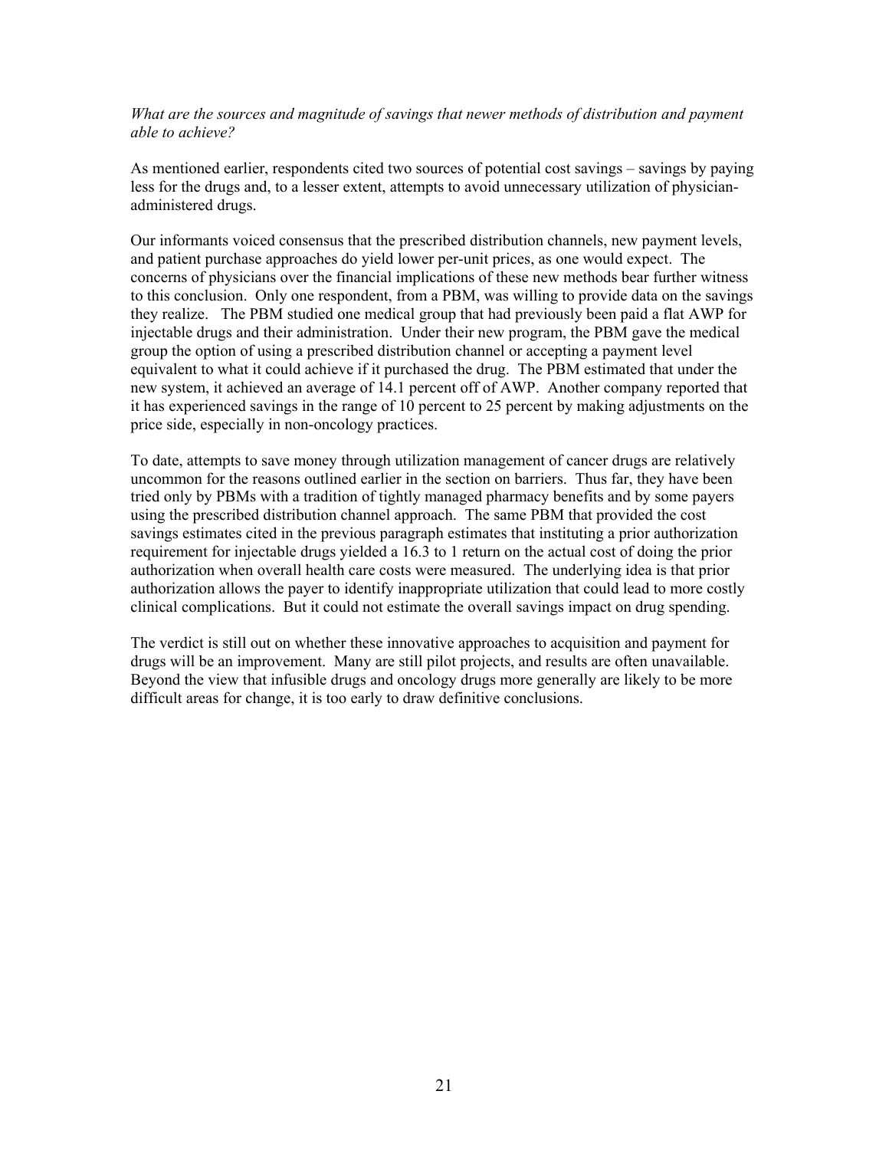*What are the sources and magnitude of savings that newer methods of distribution and payment able to achieve?* 

As mentioned earlier, respondents cited two sources of potential cost savings – savings by paying less for the drugs and, to a lesser extent, attempts to avoid unnecessary utilization of physicianadministered drugs.

Our informants voiced consensus that the prescribed distribution channels, new payment levels, and patient purchase approaches do yield lower per-unit prices, as one would expect. The concerns of physicians over the financial implications of these new methods bear further witness to this conclusion. Only one respondent, from a PBM, was willing to provide data on the savings they realize. The PBM studied one medical group that had previously been paid a flat AWP for injectable drugs and their administration. Under their new program, the PBM gave the medical group the option of using a prescribed distribution channel or accepting a payment level equivalent to what it could achieve if it purchased the drug. The PBM estimated that under the new system, it achieved an average of 14.1 percent off of AWP. Another company reported that it has experienced savings in the range of 10 percent to 25 percent by making adjustments on the price side, especially in non-oncology practices.

To date, attempts to save money through utilization management of cancer drugs are relatively uncommon for the reasons outlined earlier in the section on barriers. Thus far, they have been tried only by PBMs with a tradition of tightly managed pharmacy benefits and by some payers using the prescribed distribution channel approach. The same PBM that provided the cost savings estimates cited in the previous paragraph estimates that instituting a prior authorization requirement for injectable drugs yielded a 16.3 to 1 return on the actual cost of doing the prior authorization when overall health care costs were measured. The underlying idea is that prior authorization allows the payer to identify inappropriate utilization that could lead to more costly clinical complications. But it could not estimate the overall savings impact on drug spending.

The verdict is still out on whether these innovative approaches to acquisition and payment for drugs will be an improvement. Many are still pilot projects, and results are often unavailable. Beyond the view that infusible drugs and oncology drugs more generally are likely to be more difficult areas for change, it is too early to draw definitive conclusions.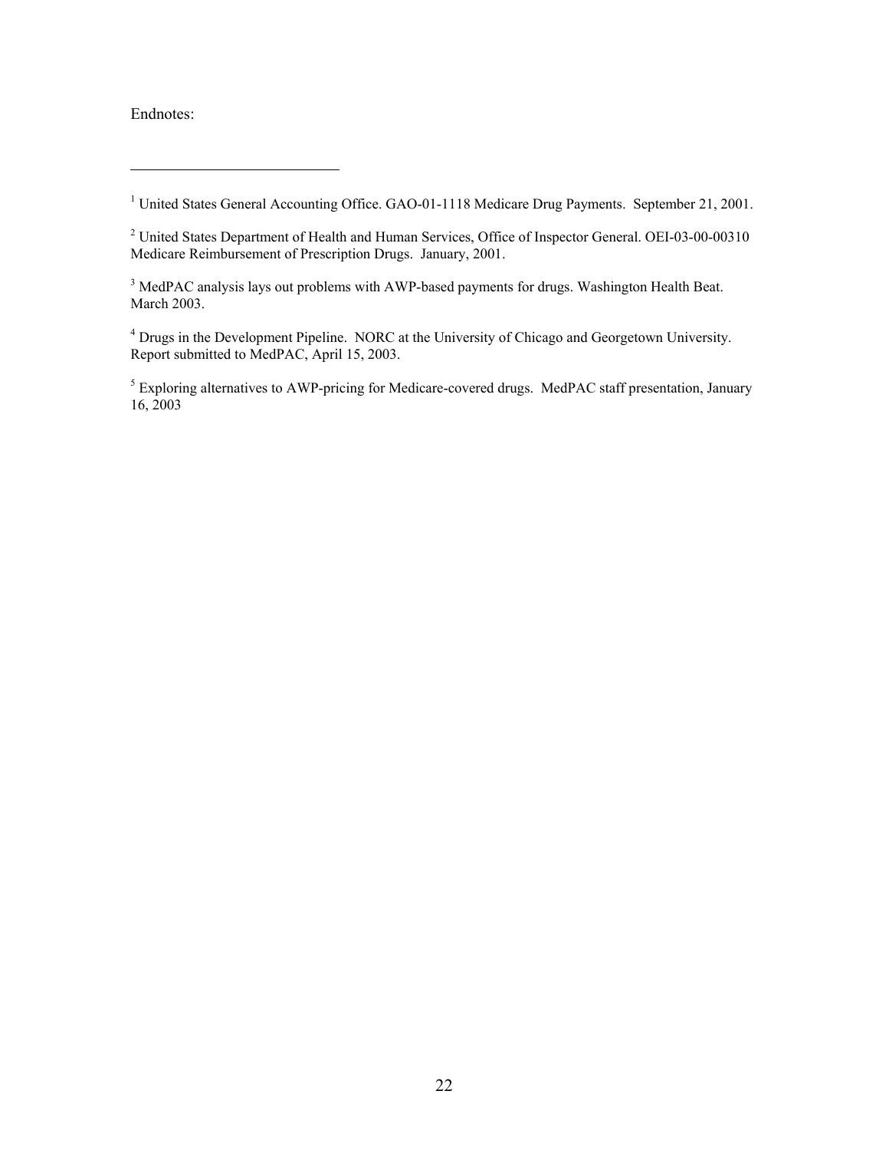Endnotes:

 $\overline{a}$ 

<sup>2</sup> United States Department of Health and Human Services, Office of Inspector General. OEI-03-00-00310 Medicare Reimbursement of Prescription Drugs. January, 2001.

<sup>3</sup> MedPAC analysis lays out problems with AWP-based payments for drugs. Washington Health Beat. March 2003.

<sup>4</sup> Drugs in the Development Pipeline. NORC at the University of Chicago and Georgetown University. Report submitted to MedPAC, April 15, 2003.

<span id="page-22-3"></span><span id="page-22-2"></span><span id="page-22-1"></span><span id="page-22-0"></span><sup>5</sup> Exploring alternatives to AWP-pricing for Medicare-covered drugs. MedPAC staff presentation, January 16, 2003

<sup>&</sup>lt;sup>1</sup> United States General Accounting Office. GAO-01-1118 Medicare Drug Payments. September 21, 2001.